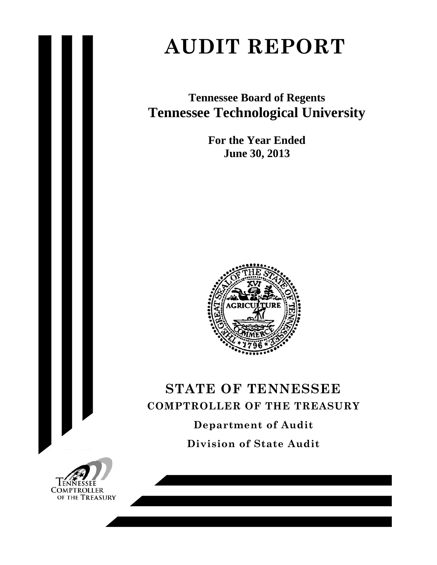# **AUDIT REPORT**

**Tennessee Board of Regents Tennessee Technological University** 

> **For the Year Ended June 30, 2013**



# **STATE OF TENNESSEE COMPTROLLER OF THE TREASURY Department of Audit**

**Division of State Audit** 

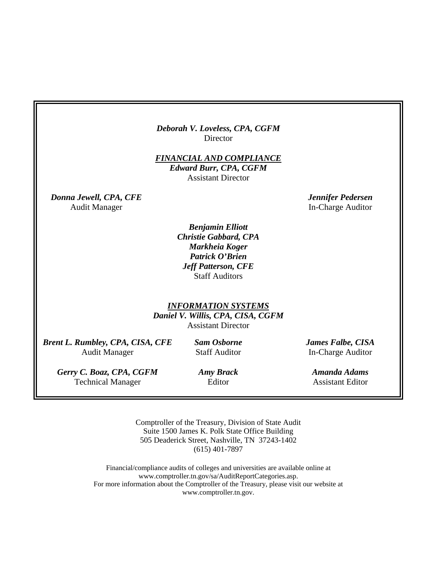*Deborah V. Loveless, CPA, CGFM* **Director** 

*FINANCIAL AND COMPLIANCE Edward Burr, CPA, CGFM* Assistant Director

*Donna Jewell, CPA, CFE Jennifer Pedersen* Audit Manager

In-Charge Auditor

*Benjamin Elliott Christie Gabbard, CPA Markheia Koger Patrick O'Brien Jeff Patterson, CFE* Staff Auditors

# *INFORMATION SYSTEMS*

*Daniel V. Willis, CPA, CISA, CGFM*  Assistant Director

*Brent L. Rumbley, CPA, CISA, CFE*  Audit Manager

*Sam Osborne*  Staff Auditor

 *James Falbe, CISA* In-Charge Auditor

Gerry C. Boaz, CPA, CGFM Amy Brack Amanda Adams Technical Manager Editor Assistant Editor

Comptroller of the Treasury, Division of State Audit Suite 1500 James K. Polk State Office Building 505 Deaderick Street, Nashville, TN 37243-1402 (615) 401-7897

Financial/compliance audits of colleges and universities are available online at www.comptroller.tn.gov/sa/AuditReportCategories.asp. For more information about the Comptroller of the Treasury, please visit our website at www.comptroller.tn.gov.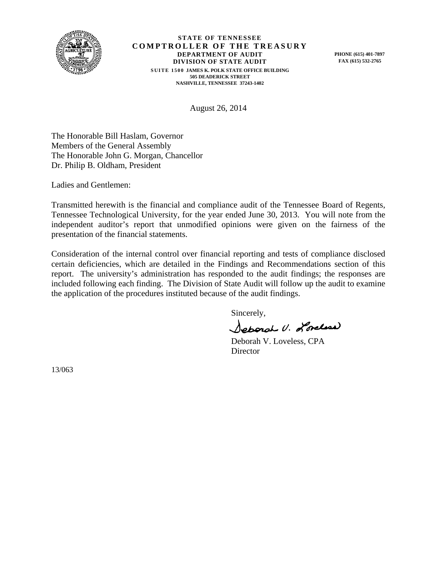

**STATE OF TENNESSEE COMPTROLLER OF THE TREASURY DEPARTMENT OF AUDIT DIVISION OF STATE AUDIT SUITE 1500 JAMES K. POLK STATE OFFICE BUILDING 505 DEADERICK STREET NASHVILLE, TENNESSEE 37243-1402** 

**PHONE (615) 401-7897 FAX (615) 532-2765** 

August 26, 2014

The Honorable Bill Haslam, Governor Members of the General Assembly The Honorable John G. Morgan, Chancellor Dr. Philip B. Oldham, President

Ladies and Gentlemen:

Transmitted herewith is the financial and compliance audit of the Tennessee Board of Regents, Tennessee Technological University, for the year ended June 30, 2013. You will note from the independent auditor's report that unmodified opinions were given on the fairness of the presentation of the financial statements.

Consideration of the internal control over financial reporting and tests of compliance disclosed certain deficiencies, which are detailed in the Findings and Recommendations section of this report. The university's administration has responded to the audit findings; the responses are included following each finding. The Division of State Audit will follow up the audit to examine the application of the procedures instituted because of the audit findings.

Sincerely,

Separal U. Loreland

 Deborah V. Loveless, CPA **Director** 

13/063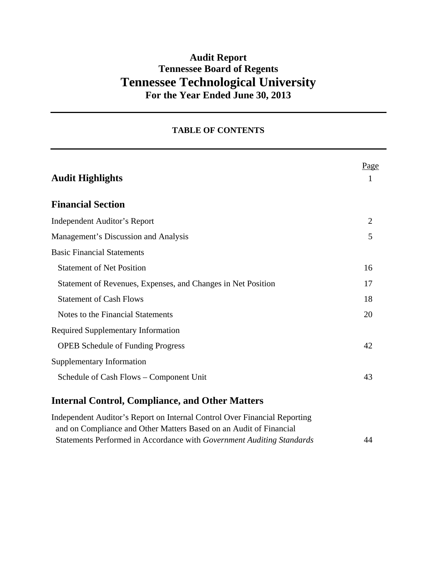# **Audit Report Tennessee Board of Regents Tennessee Technological University For the Year Ended June 30, 2013**

# **TABLE OF CONTENTS**

| <b>Audit Highlights</b>                                      | Page<br>1      |
|--------------------------------------------------------------|----------------|
| <b>Financial Section</b>                                     |                |
| Independent Auditor's Report                                 | $\overline{2}$ |
| Management's Discussion and Analysis                         | 5              |
| <b>Basic Financial Statements</b>                            |                |
| <b>Statement of Net Position</b>                             | 16             |
| Statement of Revenues, Expenses, and Changes in Net Position | 17             |
| <b>Statement of Cash Flows</b>                               | 18             |
| Notes to the Financial Statements                            | 20             |
| <b>Required Supplementary Information</b>                    |                |
| <b>OPEB</b> Schedule of Funding Progress                     | 42             |
| Supplementary Information                                    |                |
| Schedule of Cash Flows - Component Unit                      | 43             |

# **Internal Control, Compliance, and Other Matters**

| Independent Auditor's Report on Internal Control Over Financial Reporting |    |
|---------------------------------------------------------------------------|----|
| and on Compliance and Other Matters Based on an Audit of Financial        |    |
| Statements Performed in Accordance with Government Auditing Standards     | 44 |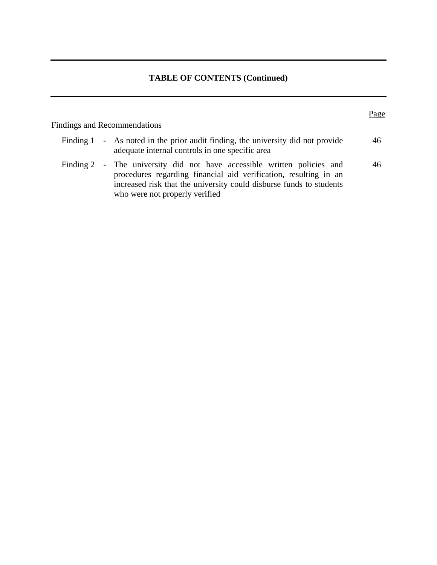# **TABLE OF CONTENTS (Continued)**

|                                     |                                                                                                                                                                                                                                            | Page |
|-------------------------------------|--------------------------------------------------------------------------------------------------------------------------------------------------------------------------------------------------------------------------------------------|------|
| <b>Findings and Recommendations</b> |                                                                                                                                                                                                                                            |      |
|                                     | Finding 1 - As noted in the prior audit finding, the university did not provide<br>adequate internal controls in one specific area                                                                                                         | 46   |
| Finding 2                           | - The university did not have accessible written policies and<br>procedures regarding financial aid verification, resulting in an<br>increased risk that the university could disburse funds to students<br>who were not properly verified | 46   |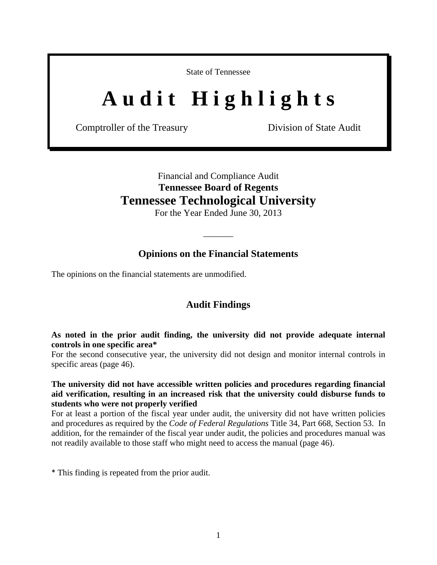State of Tennessee

# A u d i t H i g h l i g h t s

Comptroller of the Treasury Division of State Audit

Financial and Compliance Audit **Tennessee Board of Regents Tennessee Technological University** 

For the Year Ended June 30, 2013

# **Opinions on the Financial Statements**

 $\overline{\phantom{a}}$ 

The opinions on the financial statements are unmodified.

# **Audit Findings**

**As noted in the prior audit finding, the university did not provide adequate internal controls in one specific area\*** 

For the second consecutive year, the university did not design and monitor internal controls in specific areas (page 46).

**The university did not have accessible written policies and procedures regarding financial aid verification, resulting in an increased risk that the university could disburse funds to students who were not properly verified** 

For at least a portion of the fiscal year under audit, the university did not have written policies and procedures as required by the *Code of Federal Regulations* Title 34, Part 668, Section 53. In addition, for the remainder of the fiscal year under audit, the policies and procedures manual was not readily available to those staff who might need to access the manual (page 46).

\* This finding is repeated from the prior audit.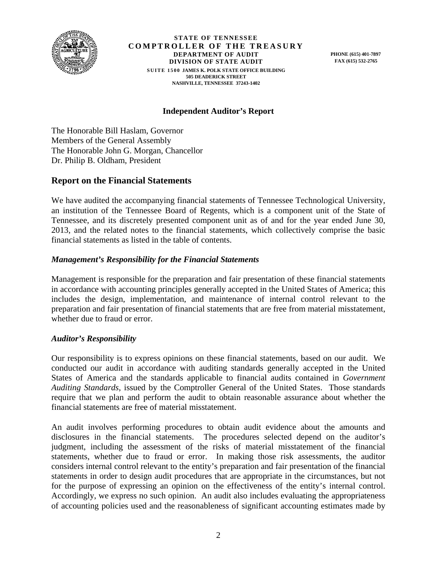

**STATE OF TENNESSEE COMPTROLLER OF THE TREASURY DEPARTMENT OF AUDIT DIVISION OF STATE AUDIT SUITE 1500 JAMES K. POLK STATE OFFICE BUILDING 505 DEADERICK STREET NASHVILLE, TENNESSEE 37243-1402** 

**PHONE (615) 401-7897 FAX (615) 532-2765** 

### **Independent Auditor's Report**

The Honorable Bill Haslam, Governor Members of the General Assembly The Honorable John G. Morgan, Chancellor Dr. Philip B. Oldham, President

### **Report on the Financial Statements**

We have audited the accompanying financial statements of Tennessee Technological University, an institution of the Tennessee Board of Regents, which is a component unit of the State of Tennessee, and its discretely presented component unit as of and for the year ended June 30, 2013, and the related notes to the financial statements, which collectively comprise the basic financial statements as listed in the table of contents.

#### *Management's Responsibility for the Financial Statements*

Management is responsible for the preparation and fair presentation of these financial statements in accordance with accounting principles generally accepted in the United States of America; this includes the design, implementation, and maintenance of internal control relevant to the preparation and fair presentation of financial statements that are free from material misstatement, whether due to fraud or error.

#### *Auditor's Responsibility*

Our responsibility is to express opinions on these financial statements, based on our audit. We conducted our audit in accordance with auditing standards generally accepted in the United States of America and the standards applicable to financial audits contained in *Government Auditing Standards*, issued by the Comptroller General of the United States. Those standards require that we plan and perform the audit to obtain reasonable assurance about whether the financial statements are free of material misstatement.

An audit involves performing procedures to obtain audit evidence about the amounts and disclosures in the financial statements. The procedures selected depend on the auditor's judgment, including the assessment of the risks of material misstatement of the financial statements, whether due to fraud or error. In making those risk assessments, the auditor considers internal control relevant to the entity's preparation and fair presentation of the financial statements in order to design audit procedures that are appropriate in the circumstances, but not for the purpose of expressing an opinion on the effectiveness of the entity's internal control. Accordingly, we express no such opinion. An audit also includes evaluating the appropriateness of accounting policies used and the reasonableness of significant accounting estimates made by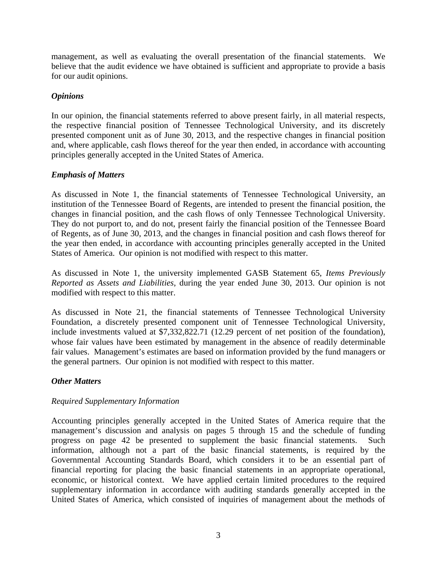management, as well as evaluating the overall presentation of the financial statements. We believe that the audit evidence we have obtained is sufficient and appropriate to provide a basis for our audit opinions.

# *Opinions*

In our opinion, the financial statements referred to above present fairly, in all material respects, the respective financial position of Tennessee Technological University, and its discretely presented component unit as of June 30, 2013, and the respective changes in financial position and, where applicable, cash flows thereof for the year then ended, in accordance with accounting principles generally accepted in the United States of America.

### *Emphasis of Matters*

As discussed in Note 1, the financial statements of Tennessee Technological University, an institution of the Tennessee Board of Regents, are intended to present the financial position, the changes in financial position, and the cash flows of only Tennessee Technological University. They do not purport to, and do not, present fairly the financial position of the Tennessee Board of Regents, as of June 30, 2013, and the changes in financial position and cash flows thereof for the year then ended, in accordance with accounting principles generally accepted in the United States of America. Our opinion is not modified with respect to this matter.

As discussed in Note 1, the university implemented GASB Statement 65, *Items Previously Reported as Assets and Liabilities*, during the year ended June 30, 2013. Our opinion is not modified with respect to this matter.

As discussed in Note 21, the financial statements of Tennessee Technological University Foundation, a discretely presented component unit of Tennessee Technological University, include investments valued at \$7,332,822.71 (12.29 percent of net position of the foundation), whose fair values have been estimated by management in the absence of readily determinable fair values. Management's estimates are based on information provided by the fund managers or the general partners. Our opinion is not modified with respect to this matter.

#### *Other Matters*

#### *Required Supplementary Information*

Accounting principles generally accepted in the United States of America require that the management's discussion and analysis on pages 5 through 15 and the schedule of funding progress on page 42 be presented to supplement the basic financial statements. Such information, although not a part of the basic financial statements, is required by the Governmental Accounting Standards Board, which considers it to be an essential part of financial reporting for placing the basic financial statements in an appropriate operational, economic, or historical context. We have applied certain limited procedures to the required supplementary information in accordance with auditing standards generally accepted in the United States of America, which consisted of inquiries of management about the methods of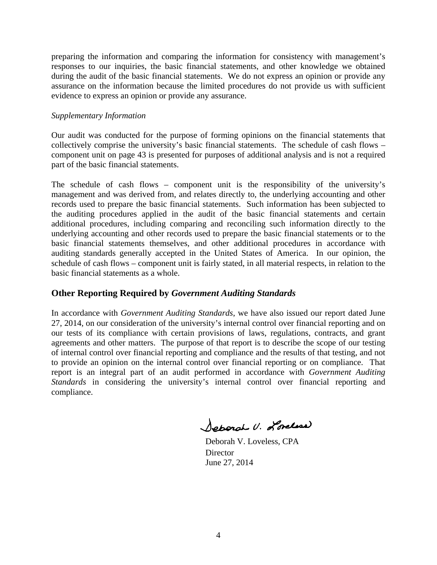preparing the information and comparing the information for consistency with management's responses to our inquiries, the basic financial statements, and other knowledge we obtained during the audit of the basic financial statements. We do not express an opinion or provide any assurance on the information because the limited procedures do not provide us with sufficient evidence to express an opinion or provide any assurance.

#### *Supplementary Information*

Our audit was conducted for the purpose of forming opinions on the financial statements that collectively comprise the university's basic financial statements. The schedule of cash flows – component unit on page 43 is presented for purposes of additional analysis and is not a required part of the basic financial statements.

The schedule of cash flows – component unit is the responsibility of the university's management and was derived from, and relates directly to, the underlying accounting and other records used to prepare the basic financial statements. Such information has been subjected to the auditing procedures applied in the audit of the basic financial statements and certain additional procedures, including comparing and reconciling such information directly to the underlying accounting and other records used to prepare the basic financial statements or to the basic financial statements themselves, and other additional procedures in accordance with auditing standards generally accepted in the United States of America. In our opinion, the schedule of cash flows – component unit is fairly stated, in all material respects, in relation to the basic financial statements as a whole.

# **Other Reporting Required by** *Government Auditing Standards*

In accordance with *Government Auditing Standards*, we have also issued our report dated June 27, 2014, on our consideration of the university's internal control over financial reporting and on our tests of its compliance with certain provisions of laws, regulations, contracts, and grant agreements and other matters. The purpose of that report is to describe the scope of our testing of internal control over financial reporting and compliance and the results of that testing, and not to provide an opinion on the internal control over financial reporting or on compliance. That report is an integral part of an audit performed in accordance with *Government Auditing Standards* in considering the university's internal control over financial reporting and compliance.

Separal U. Lordese)

 Deborah V. Loveless, CPA **Director** June 27, 2014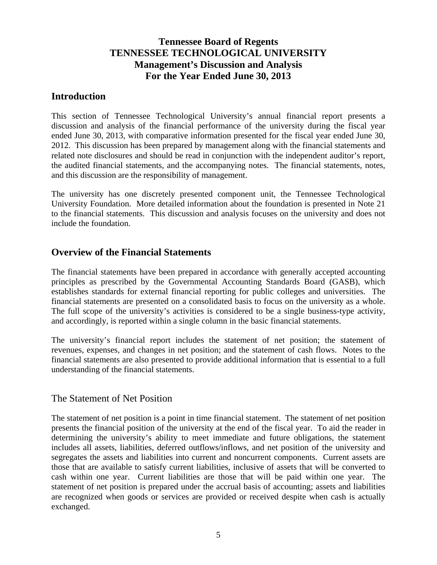# **Tennessee Board of Regents TENNESSEE TECHNOLOGICAL UNIVERSITY Management's Discussion and Analysis For the Year Ended June 30, 2013**

# **Introduction**

This section of Tennessee Technological University's annual financial report presents a discussion and analysis of the financial performance of the university during the fiscal year ended June 30, 2013, with comparative information presented for the fiscal year ended June 30, 2012. This discussion has been prepared by management along with the financial statements and related note disclosures and should be read in conjunction with the independent auditor's report, the audited financial statements, and the accompanying notes. The financial statements, notes, and this discussion are the responsibility of management.

The university has one discretely presented component unit, the Tennessee Technological University Foundation. More detailed information about the foundation is presented in Note 21 to the financial statements. This discussion and analysis focuses on the university and does not include the foundation.

# **Overview of the Financial Statements**

The financial statements have been prepared in accordance with generally accepted accounting principles as prescribed by the Governmental Accounting Standards Board (GASB), which establishes standards for external financial reporting for public colleges and universities. The financial statements are presented on a consolidated basis to focus on the university as a whole. The full scope of the university's activities is considered to be a single business-type activity, and accordingly, is reported within a single column in the basic financial statements.

The university's financial report includes the statement of net position; the statement of revenues, expenses, and changes in net position; and the statement of cash flows. Notes to the financial statements are also presented to provide additional information that is essential to a full understanding of the financial statements.

# The Statement of Net Position

The statement of net position is a point in time financial statement. The statement of net position presents the financial position of the university at the end of the fiscal year. To aid the reader in determining the university's ability to meet immediate and future obligations, the statement includes all assets, liabilities, deferred outflows/inflows, and net position of the university and segregates the assets and liabilities into current and noncurrent components. Current assets are those that are available to satisfy current liabilities, inclusive of assets that will be converted to cash within one year. Current liabilities are those that will be paid within one year. The statement of net position is prepared under the accrual basis of accounting; assets and liabilities are recognized when goods or services are provided or received despite when cash is actually exchanged.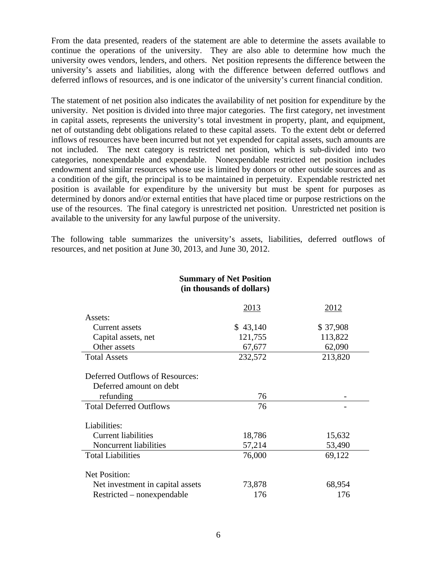From the data presented, readers of the statement are able to determine the assets available to continue the operations of the university. They are also able to determine how much the university owes vendors, lenders, and others. Net position represents the difference between the university's assets and liabilities, along with the difference between deferred outflows and deferred inflows of resources, and is one indicator of the university's current financial condition.

The statement of net position also indicates the availability of net position for expenditure by the university. Net position is divided into three major categories. The first category, net investment in capital assets, represents the university's total investment in property, plant, and equipment, net of outstanding debt obligations related to these capital assets. To the extent debt or deferred inflows of resources have been incurred but not yet expended for capital assets, such amounts are not included. The next category is restricted net position, which is sub-divided into two categories, nonexpendable and expendable. Nonexpendable restricted net position includes endowment and similar resources whose use is limited by donors or other outside sources and as a condition of the gift, the principal is to be maintained in perpetuity. Expendable restricted net position is available for expenditure by the university but must be spent for purposes as determined by donors and/or external entities that have placed time or purpose restrictions on the use of the resources. The final category is unrestricted net position. Unrestricted net position is available to the university for any lawful purpose of the university.

The following table summarizes the university's assets, liabilities, deferred outflows of resources, and net position at June 30, 2013, and June 30, 2012.

|                                                            | 2013     | 2012     |
|------------------------------------------------------------|----------|----------|
| Assets:                                                    |          |          |
| <b>Current assets</b>                                      | \$43,140 | \$37,908 |
| Capital assets, net                                        | 121,755  | 113,822  |
| Other assets                                               | 67,677   | 62,090   |
| <b>Total Assets</b>                                        | 232,572  | 213,820  |
| Deferred Outflows of Resources:<br>Deferred amount on debt |          |          |
| refunding                                                  | 76       |          |
| <b>Total Deferred Outflows</b>                             | 76       |          |
| Liabilities:                                               |          |          |
| <b>Current liabilities</b>                                 | 18,786   | 15,632   |
| Noncurrent liabilities                                     | 57,214   | 53,490   |
| <b>Total Liabilities</b>                                   | 76,000   | 69,122   |
| <b>Net Position:</b>                                       |          |          |
| Net investment in capital assets                           | 73,878   | 68,954   |
| Restricted – nonexpendable                                 | 176      | 176      |

# **Summary of Net Position (in thousands of dollars)**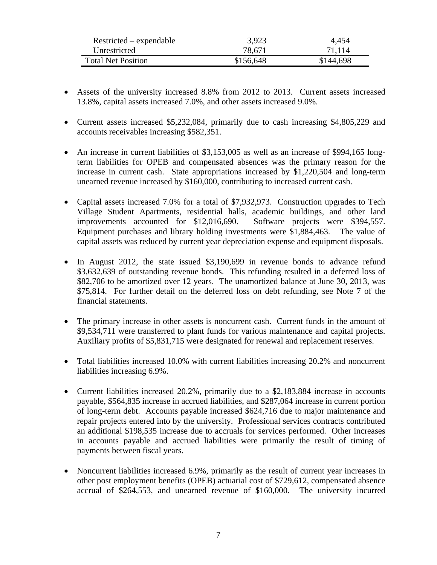| $Restricted - expendable$ | 3,923     | 4,454     |
|---------------------------|-----------|-----------|
| Unrestricted              | 78,671    | 71,114    |
| <b>Total Net Position</b> | \$156,648 | \$144,698 |

- Assets of the university increased 8.8% from 2012 to 2013. Current assets increased 13.8%, capital assets increased 7.0%, and other assets increased 9.0%.
- Current assets increased \$5,232,084, primarily due to cash increasing \$4,805,229 and accounts receivables increasing \$582,351.
- An increase in current liabilities of \$3,153,005 as well as an increase of \$994,165 longterm liabilities for OPEB and compensated absences was the primary reason for the increase in current cash. State appropriations increased by \$1,220,504 and long-term unearned revenue increased by \$160,000, contributing to increased current cash.
- Capital assets increased 7.0% for a total of \$7,932,973. Construction upgrades to Tech Village Student Apartments, residential halls, academic buildings, and other land improvements accounted for \$12,016,690. Software projects were \$394,557. Equipment purchases and library holding investments were \$1,884,463. The value of capital assets was reduced by current year depreciation expense and equipment disposals.
- In August 2012, the state issued \$3,190,699 in revenue bonds to advance refund \$3,632,639 of outstanding revenue bonds. This refunding resulted in a deferred loss of \$82,706 to be amortized over 12 years. The unamortized balance at June 30, 2013, was \$75,814. For further detail on the deferred loss on debt refunding, see Note 7 of the financial statements.
- The primary increase in other assets is noncurrent cash. Current funds in the amount of \$9,534,711 were transferred to plant funds for various maintenance and capital projects. Auxiliary profits of \$5,831,715 were designated for renewal and replacement reserves.
- Total liabilities increased 10.0% with current liabilities increasing 20.2% and noncurrent liabilities increasing 6.9%.
- Current liabilities increased 20.2%, primarily due to a \$2,183,884 increase in accounts payable, \$564,835 increase in accrued liabilities, and \$287,064 increase in current portion of long-term debt. Accounts payable increased \$624,716 due to major maintenance and repair projects entered into by the university. Professional services contracts contributed an additional \$198,535 increase due to accruals for services performed. Other increases in accounts payable and accrued liabilities were primarily the result of timing of payments between fiscal years.
- Noncurrent liabilities increased 6.9%, primarily as the result of current year increases in other post employment benefits (OPEB) actuarial cost of \$729,612, compensated absence accrual of \$264,553, and unearned revenue of \$160,000. The university incurred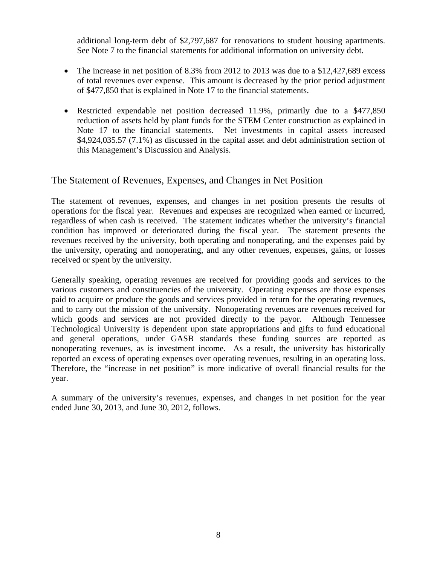additional long-term debt of \$2,797,687 for renovations to student housing apartments. See Note 7 to the financial statements for additional information on university debt.

- The increase in net position of 8.3% from 2012 to 2013 was due to a \$12,427,689 excess of total revenues over expense. This amount is decreased by the prior period adjustment of \$477,850 that is explained in Note 17 to the financial statements.
- Restricted expendable net position decreased 11.9%, primarily due to a \$477,850 reduction of assets held by plant funds for the STEM Center construction as explained in Note 17 to the financial statements. Net investments in capital assets increased \$4,924,035.57 (7.1%) as discussed in the capital asset and debt administration section of this Management's Discussion and Analysis.

# The Statement of Revenues, Expenses, and Changes in Net Position

The statement of revenues, expenses, and changes in net position presents the results of operations for the fiscal year. Revenues and expenses are recognized when earned or incurred, regardless of when cash is received. The statement indicates whether the university's financial condition has improved or deteriorated during the fiscal year. The statement presents the revenues received by the university, both operating and nonoperating, and the expenses paid by the university, operating and nonoperating, and any other revenues, expenses, gains, or losses received or spent by the university.

Generally speaking, operating revenues are received for providing goods and services to the various customers and constituencies of the university. Operating expenses are those expenses paid to acquire or produce the goods and services provided in return for the operating revenues, and to carry out the mission of the university. Nonoperating revenues are revenues received for which goods and services are not provided directly to the payor.Although Tennessee Technological University is dependent upon state appropriations and gifts to fund educational and general operations, under GASB standards these funding sources are reported as nonoperating revenues, as is investment income. As a result, the university has historically reported an excess of operating expenses over operating revenues, resulting in an operating loss. Therefore, the "increase in net position" is more indicative of overall financial results for the year.

A summary of the university's revenues, expenses, and changes in net position for the year ended June 30, 2013, and June 30, 2012, follows.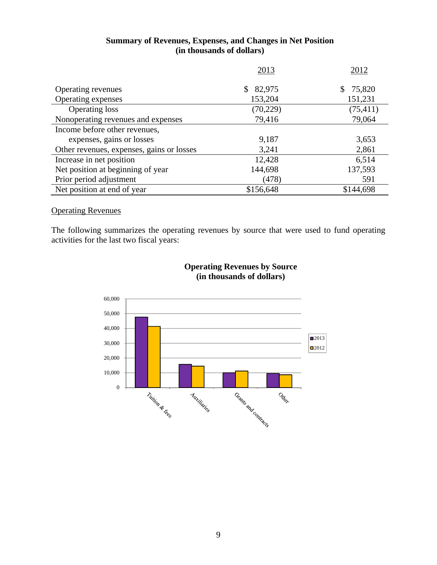# **Summary of Revenues, Expenses, and Changes in Net Position (in thousands of dollars)**

|                                           | 2013      | 2012         |
|-------------------------------------------|-----------|--------------|
| Operating revenues                        | 82,975    | 75,820<br>S. |
| Operating expenses                        | 153,204   | 151,231      |
| <b>Operating loss</b>                     | (70, 229) | (75, 411)    |
| Nonoperating revenues and expenses        | 79,416    | 79,064       |
| Income before other revenues,             |           |              |
| expenses, gains or losses                 | 9,187     | 3,653        |
| Other revenues, expenses, gains or losses | 3,241     | 2,861        |
| Increase in net position                  | 12,428    | 6,514        |
| Net position at beginning of year         | 144,698   | 137,593      |
| Prior period adjustment                   | (478)     | 591          |
| Net position at end of year               | \$156,648 | \$144,698    |

# Operating Revenues

The following summarizes the operating revenues by source that were used to fund operating activities for the last two fiscal years:



## **Operating Revenues by Source (in thousands of dollars)**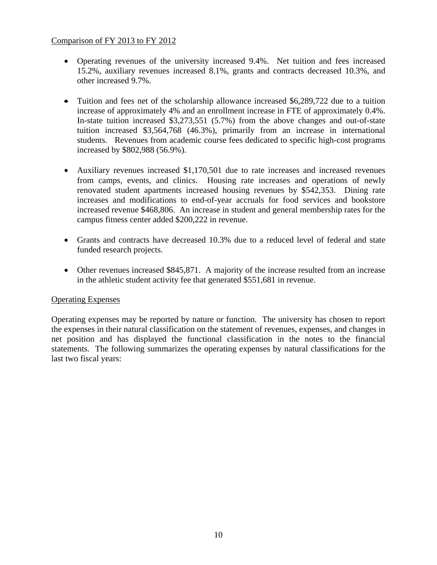### Comparison of FY 2013 to FY 2012

- Operating revenues of the university increased 9.4%. Net tuition and fees increased 15.2%, auxiliary revenues increased 8.1%, grants and contracts decreased 10.3%, and other increased 9.7%.
- Tuition and fees net of the scholarship allowance increased \$6,289,722 due to a tuition increase of approximately 4% and an enrollment increase in FTE of approximately 0.4%. In-state tuition increased \$3,273,551 (5.7%) from the above changes and out-of-state tuition increased \$3,564,768 (46.3%), primarily from an increase in international students. Revenues from academic course fees dedicated to specific high-cost programs increased by \$802,988 (56.9%).
- Auxiliary revenues increased \$1,170,501 due to rate increases and increased revenues from camps, events, and clinics. Housing rate increases and operations of newly renovated student apartments increased housing revenues by \$542,353. Dining rate increases and modifications to end-of-year accruals for food services and bookstore increased revenue \$468,806. An increase in student and general membership rates for the campus fitness center added \$200,222 in revenue.
- Grants and contracts have decreased 10.3% due to a reduced level of federal and state funded research projects.
- Other revenues increased \$845,871. A majority of the increase resulted from an increase in the athletic student activity fee that generated \$551,681 in revenue.

#### Operating Expenses

Operating expenses may be reported by nature or function. The university has chosen to report the expenses in their natural classification on the statement of revenues, expenses, and changes in net position and has displayed the functional classification in the notes to the financial statements. The following summarizes the operating expenses by natural classifications for the last two fiscal years: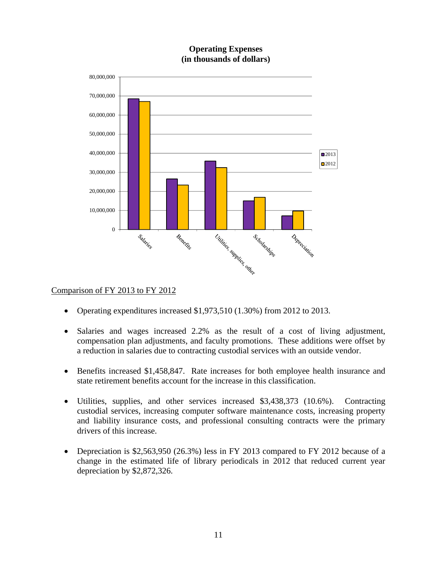

# **Operating Expenses (in thousands of dollars)**

#### Comparison of FY 2013 to FY 2012

- Operating expenditures increased \$1,973,510 (1.30%) from 2012 to 2013.
- Salaries and wages increased 2.2% as the result of a cost of living adjustment, compensation plan adjustments, and faculty promotions. These additions were offset by a reduction in salaries due to contracting custodial services with an outside vendor.
- Benefits increased \$1,458,847. Rate increases for both employee health insurance and state retirement benefits account for the increase in this classification.
- Utilities, supplies, and other services increased \$3,438,373 (10.6%). Contracting custodial services, increasing computer software maintenance costs, increasing property and liability insurance costs, and professional consulting contracts were the primary drivers of this increase.
- Depreciation is \$2,563,950 (26.3%) less in FY 2013 compared to FY 2012 because of a change in the estimated life of library periodicals in 2012 that reduced current year depreciation by \$2,872,326.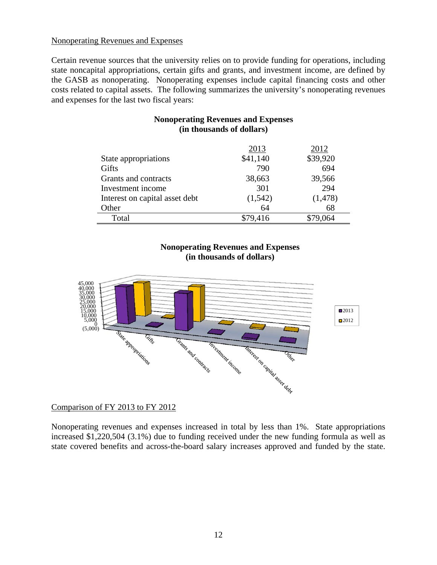#### Nonoperating Revenues and Expenses

Certain revenue sources that the university relies on to provide funding for operations, including state noncapital appropriations, certain gifts and grants, and investment income, are defined by the GASB as nonoperating. Nonoperating expenses include capital financing costs and other costs related to capital assets. The following summarizes the university's nonoperating revenues and expenses for the last two fiscal years:

| <b>Nonoperating Revenues and Expenses</b> |
|-------------------------------------------|
| (in thousands of dollars)                 |
|                                           |

|                                | 2013     | 2012     |
|--------------------------------|----------|----------|
| State appropriations           | \$41,140 | \$39,920 |
| <b>Gifts</b>                   | 790      | 694      |
| Grants and contracts           | 38,663   | 39,566   |
| Investment income              | 301      | 294      |
| Interest on capital asset debt | (1, 542) | (1, 478) |
| Other                          | 64       | 68       |
| Total                          | 79.416   | 164      |

# **Nonoperating Revenues and Expenses (in thousands of dollars)**



#### Comparison of FY 2013 to FY 2012

Nonoperating revenues and expenses increased in total by less than 1%. State appropriations increased \$1,220,504 (3.1%) due to funding received under the new funding formula as well as state covered benefits and across-the-board salary increases approved and funded by the state.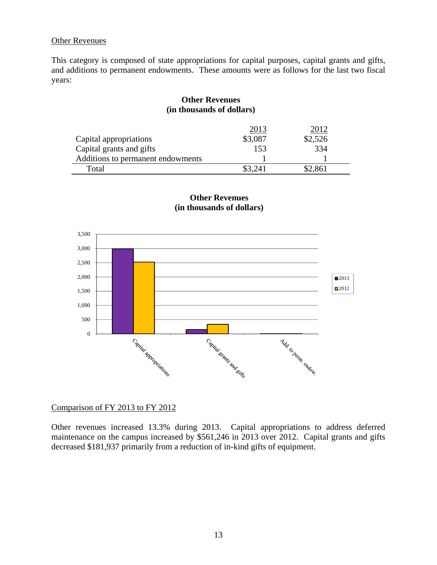#### Other Revenues

This category is composed of state appropriations for capital purposes, capital grants and gifts, and additions to permanent endowments. These amounts were as follows for the last two fiscal years:

### **Other Revenues (in thousands of dollars)**

|                                   | 2013    | 2012    |
|-----------------------------------|---------|---------|
| Capital appropriations            | \$3,087 | \$2,526 |
| Capital grants and gifts          | 153     | 334     |
| Additions to permanent endowments |         |         |
| Total                             | \$3.241 | 2.861   |

**Other Revenues (in thousands of dollars)**



#### Comparison of FY 2013 to FY 2012

Other revenues increased 13.3% during 2013. Capital appropriations to address deferred maintenance on the campus increased by \$561,246 in 2013 over 2012. Capital grants and gifts decreased \$181,937 primarily from a reduction of in-kind gifts of equipment.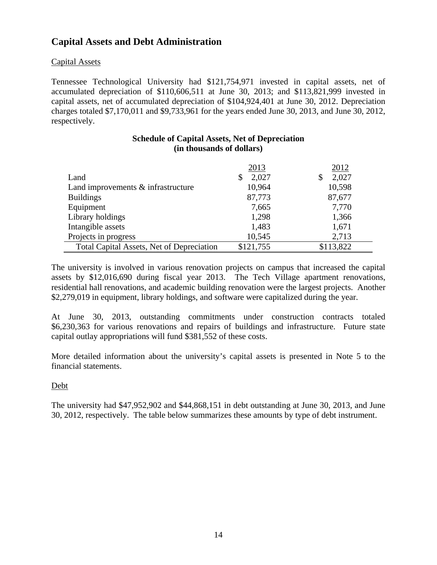# **Capital Assets and Debt Administration**

#### Capital Assets

Tennessee Technological University had \$121,754,971 invested in capital assets, net of accumulated depreciation of \$110,606,511 at June 30, 2013; and \$113,821,999 invested in capital assets, net of accumulated depreciation of \$104,924,401 at June 30, 2012. Depreciation charges totaled \$7,170,011 and \$9,733,961 for the years ended June 30, 2013, and June 30, 2012, respectively.

# **Schedule of Capital Assets, Net of Depreciation (in thousands of dollars)**

|                                                  | 2013        | 2012        |
|--------------------------------------------------|-------------|-------------|
| Land                                             | 2,027<br>\$ | 2,027<br>\$ |
| Land improvements & infrastructure               | 10,964      | 10,598      |
| <b>Buildings</b>                                 | 87,773      | 87,677      |
| Equipment                                        | 7,665       | 7,770       |
| Library holdings                                 | 1,298       | 1,366       |
| Intangible assets                                | 1,483       | 1,671       |
| Projects in progress                             | 10,545      | 2,713       |
| <b>Total Capital Assets, Net of Depreciation</b> | \$121,755   | \$113,822   |

The university is involved in various renovation projects on campus that increased the capital assets by \$12,016,690 during fiscal year 2013. The Tech Village apartment renovations, residential hall renovations, and academic building renovation were the largest projects. Another \$2,279,019 in equipment, library holdings, and software were capitalized during the year.

At June 30, 2013, outstanding commitments under construction contracts totaled \$6,230,363 for various renovations and repairs of buildings and infrastructure. Future state capital outlay appropriations will fund \$381,552 of these costs.

More detailed information about the university's capital assets is presented in Note 5 to the financial statements.

#### Debt

The university had \$47,952,902 and \$44,868,151 in debt outstanding at June 30, 2013, and June 30, 2012, respectively. The table below summarizes these amounts by type of debt instrument.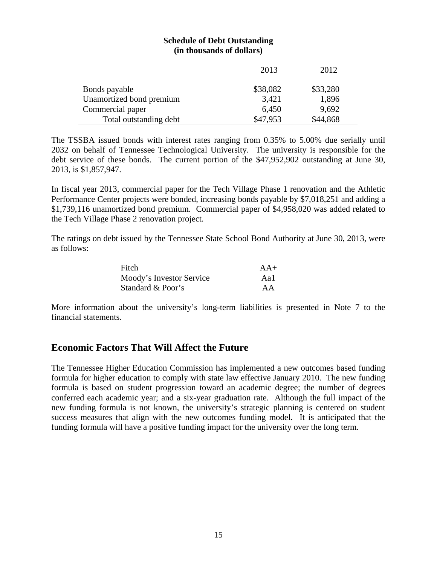|                          | 2013     |          |
|--------------------------|----------|----------|
| Bonds payable            | \$38,082 | \$33,280 |
| Unamortized bond premium | 3,421    | 1,896    |
| Commercial paper         | 6,450    | 9,692    |
| Total outstanding debt   | \$47,953 | \$44,868 |

### **Schedule of Debt Outstanding (in thousands of dollars)**

The TSSBA issued bonds with interest rates ranging from 0.35% to 5.00% due serially until 2032 on behalf of Tennessee Technological University. The university is responsible for the debt service of these bonds. The current portion of the \$47,952,902 outstanding at June 30, 2013, is \$1,857,947.

In fiscal year 2013, commercial paper for the Tech Village Phase 1 renovation and the Athletic Performance Center projects were bonded, increasing bonds payable by \$7,018,251 and adding a \$1,739,116 unamortized bond premium. Commercial paper of \$4,958,020 was added related to the Tech Village Phase 2 renovation project.

The ratings on debt issued by the Tennessee State School Bond Authority at June 30, 2013, were as follows:

| Fitch                    | $AA+$ |
|--------------------------|-------|
| Moody's Investor Service | Aal   |
| Standard & Poor's        | AA    |

More information about the university's long-term liabilities is presented in Note 7 to the financial statements.

# **Economic Factors That Will Affect the Future**

The Tennessee Higher Education Commission has implemented a new outcomes based funding formula for higher education to comply with state law effective January 2010. The new funding formula is based on student progression toward an academic degree; the number of degrees conferred each academic year; and a six-year graduation rate. Although the full impact of the new funding formula is not known, the university's strategic planning is centered on student success measures that align with the new outcomes funding model. It is anticipated that the funding formula will have a positive funding impact for the university over the long term.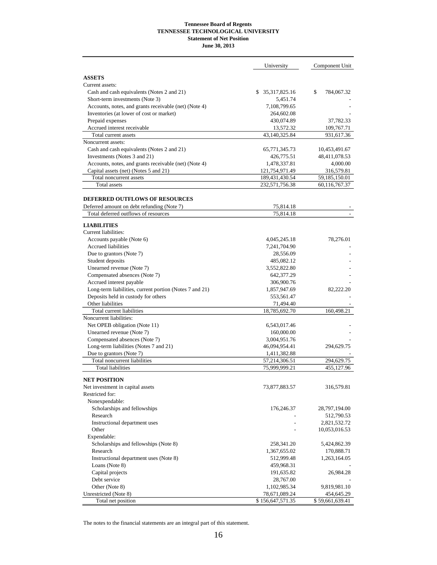#### **TENNESSEE TECHNOLOGICAL UNIVERSITY Tennessee Board of Regents Statement of Net Position June 30, 2013**

| <b>ASSETS</b>                                                              |                          |
|----------------------------------------------------------------------------|--------------------------|
|                                                                            |                          |
|                                                                            |                          |
| Current assets:                                                            |                          |
| \$<br>Cash and cash equivalents (Notes 2 and 21)<br>35, 317, 825. 16<br>\$ | 784,067.32               |
| Short-term investments (Note 3)<br>5,451.74                                |                          |
| Accounts, notes, and grants receivable (net) (Note 4)<br>7,108,799.65      |                          |
| Inventories (at lower of cost or market)<br>264,602.08                     |                          |
| Prepaid expenses<br>430,074.89<br>Accrued interest receivable              | 37,782.33                |
| 13,572.32<br>43,140,325.84<br>Total current assets                         | 109,767.71<br>931,617.36 |
| Noncurrent assets:                                                         |                          |
| Cash and cash equivalents (Notes 2 and 21)<br>65,771,345.73                | 10,453,491.67            |
| Investments (Notes 3 and 21)<br>426,775.51                                 | 48,411,078.53            |
| Accounts, notes, and grants receivable (net) (Note 4)<br>1,478,337.81      | 4,000.00                 |
| Capital assets (net) (Notes 5 and 21)<br>121,754,971.49                    | 316,579.81               |
| Total noncurrent assets<br>189, 431, 430. 54                               | 59,185,150.01            |
| Total assets<br>232,571,756.38                                             | 60,116,767.37            |
|                                                                            |                          |
| <b>DEFERRED OUTFLOWS OF RESOURCES</b>                                      |                          |
| Deferred amount on debt refunding (Note 7)<br>75,814.18                    |                          |
| Total deferred outflows of resources<br>75,814.18                          |                          |
|                                                                            |                          |
| <b>LIABILITIES</b>                                                         |                          |
| Current liabilities:                                                       |                          |
| Accounts payable (Note 6)<br>4,045,245.18                                  | 78,276.01                |
| <b>Accrued liabilities</b><br>7,241,704.90                                 |                          |
| Due to grantors (Note 7)<br>28,556.09                                      |                          |
| Student deposits<br>485,082.12                                             |                          |
| Unearned revenue (Note 7)<br>3,552,822.80                                  |                          |
| Compensated absences (Note 7)<br>642,377.29                                |                          |
| Accrued interest payable<br>306,900.76                                     |                          |
| Long-term liabilities, current portion (Notes 7 and 21)<br>1,857,947.69    | 82,222.20                |
| Deposits held in custody for others<br>553,561.47                          |                          |
| Other liabilities<br>71,494.40                                             |                          |
| Total current liabilities<br>18,785,692.70                                 | 160,498.21               |
| Noncurrent liabilities:                                                    |                          |
| Net OPEB obligation (Note 11)<br>6,543,017.46                              |                          |
| Unearned revenue (Note 7)<br>160,000.00                                    |                          |
| Compensated absences (Note 7)<br>3,004,951.76                              |                          |
| Long-term liabilities (Notes 7 and 21)<br>46,094,954.41                    | 294,629.75               |
| Due to grantors (Note 7)<br>1,411,382.88                                   |                          |
| Total noncurrent liabilities<br>57,214,306.51                              | 294,629.75               |
| Total liabilities<br>75,999,999.21                                         | 455,127.96               |
| NET POSITION                                                               |                          |
| Net investment in capital assets<br>73,877,883.57                          | 316,579.81               |
| Restricted for:                                                            |                          |
| Nonexpendable:                                                             |                          |
| Scholarships and fellowships<br>176,246.37                                 | 28,797,194.00            |
| Research                                                                   | 512,790.53               |
| Instructional department uses                                              | 2,821,532.72             |
| Other                                                                      | 10,053,016.53            |
| Expendable:                                                                |                          |
| Scholarships and fellowships (Note 8)<br>258,341.20                        | 5,424,862.39             |
| Research<br>1,367,655.02                                                   | 170,888.71               |
| Instructional department uses (Note 8)<br>512,999.48                       | 1,263,164.05             |
| Loans (Note 8)<br>459,968.31                                               |                          |
| Capital projects<br>191,635.82                                             | 26,984.28                |
| Debt service<br>28,767.00                                                  |                          |
| Other (Note 8)<br>1,102,985.34                                             | 9,819,981.10             |
| Unrestricted (Note 8)<br>78,671,089.24                                     | 454,645.29               |
| Total net position<br>\$156,647,571.35                                     | \$59,661,639.41          |

The notes to the financial statements are an integral part of this statement.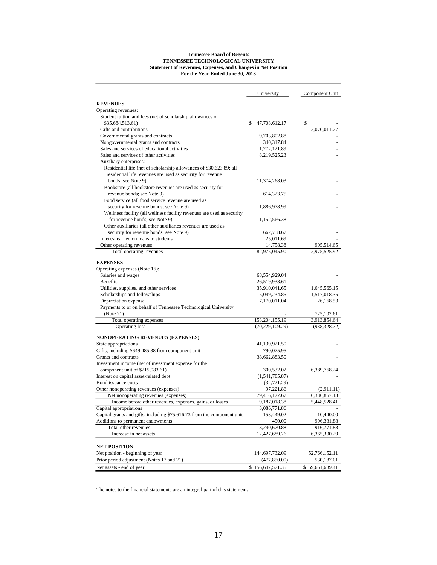#### **Tennessee Board of Regents TENNESSEE TECHNOLOGICAL UNIVERSITY Statement of Revenues, Expenses, and Changes in Net Position For the Year Ended June 30, 2013**

|                                                                                  | University                      | Component Unit            |
|----------------------------------------------------------------------------------|---------------------------------|---------------------------|
| <b>REVENUES</b>                                                                  |                                 |                           |
| Operating revenues:                                                              |                                 |                           |
| Student tuition and fees (net of scholarship allowances of                       |                                 |                           |
| \$35,684,513.61)                                                                 | \$<br>47,708,612.17             | \$                        |
| Gifts and contributions                                                          |                                 | 2,070,011.27              |
| Governmental grants and contracts                                                | 9,703,802.88                    |                           |
| Nongovernmental grants and contracts                                             | 340,317.84                      |                           |
| Sales and services of educational activities                                     | 1,272,121.89                    |                           |
| Sales and services of other activities                                           | 8,219,525.23                    |                           |
| Auxiliary enterprises:                                                           |                                 |                           |
| Residential life (net of scholarship allowances of \$30,623.89; all              |                                 |                           |
| residential life revenues are used as security for revenue                       |                                 |                           |
| bonds; see Note 9)                                                               | 11,374,268.03                   |                           |
| Bookstore (all bookstore revenues are used as security for                       |                                 |                           |
| revenue bonds; see Note 9)<br>Food service (all food service revenue are used as | 614,323.75                      |                           |
| security for revenue bonds; see Note 9)                                          | 1,886,978.99                    |                           |
| Wellness facility (all wellness facility revenues are used as security           |                                 |                           |
| for revenue bonds, see Note 9)                                                   | 1,152,566.38                    |                           |
| Other auxiliaries (all other auxiliaries revenues are used as                    |                                 |                           |
| security for revenue bonds; see Note 9)                                          | 662,758.67                      |                           |
| Interest earned on loans to students                                             | 25,011.69                       |                           |
| Other operating revenues                                                         | 14,758.38                       | 905,514.65                |
| Total operating revenues                                                         | 82,975,045.90                   | 2,975,525.92              |
|                                                                                  |                                 |                           |
| <b>EXPENSES</b>                                                                  |                                 |                           |
| Operating expenses (Note 16):                                                    |                                 |                           |
| Salaries and wages                                                               | 68,554,929.04                   |                           |
| <b>Benefits</b>                                                                  | 26,519,938.61                   |                           |
| Utilities, supplies, and other services<br>Scholarships and fellowships          | 35,910,041.65<br>15,049,234.85  | 1,645,565.15              |
| Depreciation expense                                                             | 7,170,011.04                    | 1,517,018.35<br>26,168.53 |
| Payments to or on behalf of Tennessee Technological University                   |                                 |                           |
| (Note 21)                                                                        |                                 | 725,102.61                |
| Total operating expenses                                                         | 153, 204, 155. 19               | 3,913,854.64              |
| Operating loss                                                                   | (70, 229, 109.29)               | (938, 328.72)             |
|                                                                                  |                                 |                           |
| NONOPERATING REVENUES (EXPENSES)                                                 |                                 |                           |
| State appropriations<br>Gifts, including \$649,485.88 from component unit        | 41,139,921.50                   |                           |
| Grants and contracts                                                             | 790,075.95                      |                           |
| Investment income (net of investment expense for the                             | 38,662,883.50                   |                           |
| component unit of \$215,083.61)                                                  | 300,532.02                      | 6,389,768.24              |
| Interest on capital asset-related debt                                           | (1,541,785.87)                  |                           |
| Bond issuance costs                                                              | (32, 721.29)                    |                           |
| Other nonoperating revenues (expenses)                                           | 97,221.86                       | (2,911.11)                |
| Net nonoperating revenues (expenses)                                             | 79,416,127.67                   | 6,386,857.13              |
| Income before other revenues, expenses, gains, or losses                         | 9,187,018.38                    | 5,448,528.41              |
| Capital appropriations                                                           | 3,086,771.86                    |                           |
| Capital grants and gifts, including \$75,616.73 from the component unit          | 153,449.02                      | 10,440.00                 |
| Additions to permanent endowments                                                | 450.00                          | 906,331.88                |
| Total other revenues                                                             | 3,240,670.88                    | 916,771.88                |
| Increase in net assets                                                           | 12,427,689.26                   | 6,365,300.29              |
|                                                                                  |                                 |                           |
| <b>NET POSITION</b>                                                              |                                 | 52,766,152.11             |
| Net position - beginning of year<br>Prior period adjustment (Notes 17 and 21)    | 144,697,732.09<br>(477, 850.00) | 530,187.01                |
| Net assets - end of year                                                         | \$156,647,571.35                | \$59,661,639.41           |
|                                                                                  |                                 |                           |

The notes to the financial statements are an integral part of this statement.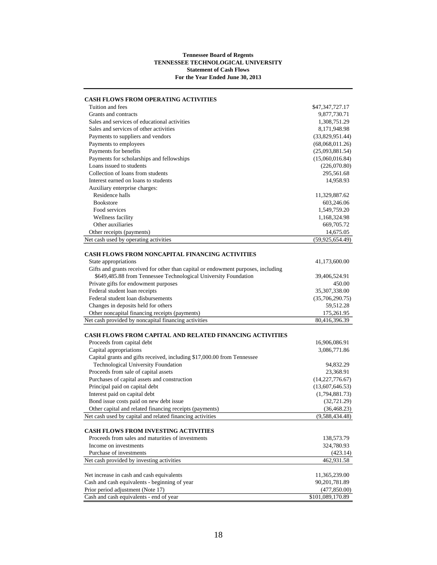#### **Tennessee Board of Regents TENNESSEE TECHNOLOGICAL UNIVERSITY Statement of Cash Flows For the Year Ended June 30, 2013**

| <b>CASH FLOWS FROM OPERATING ACTIVITIES</b>                                                                    |                               |
|----------------------------------------------------------------------------------------------------------------|-------------------------------|
| Tuition and fees                                                                                               | \$47,347,727.17               |
| Grants and contracts                                                                                           | 9,877,730.71                  |
| Sales and services of educational activities                                                                   | 1,308,751.29                  |
| Sales and services of other activities                                                                         | 8, 171, 948. 98               |
| Payments to suppliers and vendors                                                                              | (33,829,951.44)               |
| Payments to employees                                                                                          | (68,068,011.26)               |
| Payments for benefits                                                                                          | (25,093,881.54)               |
| Payments for scholarships and fellowships                                                                      | (15,060,016.84)               |
| Loans issued to students                                                                                       | (226,070.80)                  |
| Collection of loans from students                                                                              | 295,561.68                    |
| Interest earned on loans to students                                                                           | 14,958.93                     |
| Auxiliary enterprise charges:                                                                                  |                               |
| Residence halls                                                                                                | 11,329,887.62                 |
| <b>Bookstore</b>                                                                                               | 603,246.06                    |
| Food services                                                                                                  | 1,549,759.20                  |
| Wellness facility                                                                                              | 1,168,324.98                  |
| Other auxiliaries                                                                                              | 669,705.72                    |
| Other receipts (payments)                                                                                      | 14,675.05                     |
| Net cash used by operating activities                                                                          | (59, 925, 654.49)             |
| <b>CASH FLOWS FROM NONCAPITAL FINANCING ACTIVITIES</b>                                                         |                               |
| State appropriations                                                                                           | 41,173,600.00                 |
| Gifts and grants received for other than capital or endowment purposes, including                              |                               |
| \$649,485.88 from Tennessee Technological University Foundation                                                | 39,406,524.91                 |
| Private gifts for endowment purposes                                                                           | 450.00                        |
| Federal student loan receipts                                                                                  | 35,307,338.00                 |
| Federal student loan disbursements                                                                             | (35,706,290.75)               |
| Changes in deposits held for others                                                                            | 59,512.28                     |
| Other noncapital financing receipts (payments)                                                                 | 175,261.95                    |
| Net cash provided by noncapital financing activities                                                           | 80,416,396.39                 |
| <b>CASH FLOWS FROM CAPITAL AND RELATED FINANCING ACTIVITIES</b>                                                |                               |
|                                                                                                                |                               |
| Proceeds from capital debt<br>Capital appropriations                                                           | 16,906,086.91<br>3,086,771.86 |
|                                                                                                                |                               |
| Capital grants and gifts received, including \$17,000.00 from Tennessee<br>Technological University Foundation |                               |
| Proceeds from sale of capital assets                                                                           | 94,832.29<br>23,368.91        |
| Purchases of capital assets and construction                                                                   | (14, 227, 776.67)             |
| Principal paid on capital debt                                                                                 | (13,607,646.53)               |
| Interest paid on capital debt                                                                                  | (1,794,881.73)                |
| Bond issue costs paid on new debt issue                                                                        | (32, 721.29)                  |
| Other capital and related financing receipts (payments)                                                        | (36, 468.23)                  |
| Net cash used by capital and related financing activities                                                      | (9,588,434.48)                |
|                                                                                                                |                               |
| <b>CASH FLOWS FROM INVESTING ACTIVITIES</b>                                                                    |                               |
| Proceeds from sales and maturities of investments                                                              | 138,573.79                    |
| Income on investments                                                                                          | 324,780.93                    |
| Purchase of investments                                                                                        | (423.14)                      |
| Net cash provided by investing activities                                                                      | 462,931.58                    |
| Net increase in cash and cash equivalents                                                                      | 11,365,239.00                 |
| Cash and cash equivalents - beginning of year                                                                  | 90, 201, 781.89               |
| Prior period adjustment (Note 17)                                                                              | (477, 850.00)                 |
| Cash and cash equivalents - end of year                                                                        | \$101,089,170.89              |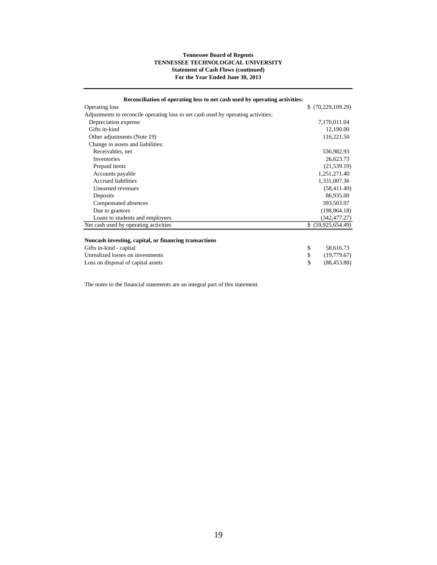#### **Statement of Cash Flows (continued) For the Year Ended June 30, 2013 Tennessee Board of Regents TENNESSEE TECHNOLOGICAL UNIVERSITY**

| Reconciliation of operating loss to net cash used by operating activities:        |                         |
|-----------------------------------------------------------------------------------|-------------------------|
| Operating loss                                                                    | \$(70,229,109.29)       |
| Adjustments to reconcile operating loss to net cash used by operating activities: |                         |
| Depreciation expense                                                              | 7,170,011.04            |
| Gifts in-kind                                                                     | 12,190.00               |
| Other adjustments (Note 19)                                                       | 116,221.50              |
| Change in assets and liabilities:                                                 |                         |
| Receivables, net                                                                  | 536,982.93              |
| Inventories                                                                       | 26,623.73               |
| Prepaid items                                                                     | (21, 539.19)            |
| Accounts payable                                                                  | 1,251,271.40            |
| Accrued liabilities                                                               | 1,331,007.36            |
| Unearned revenues                                                                 | (58, 411.49)            |
| Deposits                                                                          | 86,935.00               |
| Compensated absences                                                              | 393,503.97              |
| Due to grantors                                                                   | (198, 864.18)           |
| Loans to students and employees                                                   | (342, 477.27)           |
| Net cash used by operating activities                                             | \$<br>(59, 925, 654.49) |
|                                                                                   |                         |
| Noncash investing, capital, or financing transactions                             |                         |
| Gifts in-kind - capital                                                           | \$<br>58,616.73         |
| Unrealized losses on investments                                                  | \$<br>(19,779.67)       |
| Loss on disposal of capital assets                                                | \$<br>(88, 453.88)      |

The notes to the financial statements are an integral part of this statement.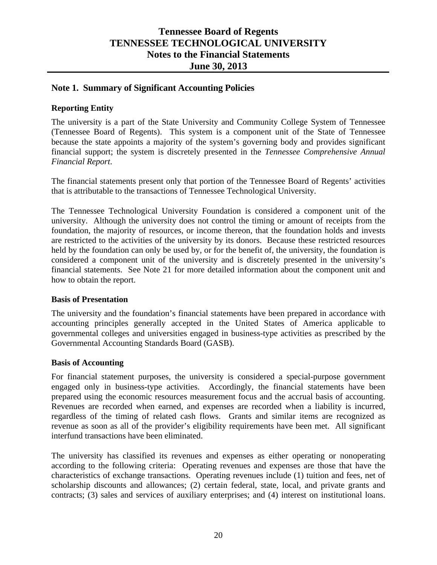# **Tennessee Board of Regents TENNESSEE TECHNOLOGICAL UNIVERSITY Notes to the Financial Statements June 30, 2013**

# **Note 1. Summary of Significant Accounting Policies**

#### **Reporting Entity**

The university is a part of the State University and Community College System of Tennessee (Tennessee Board of Regents). This system is a component unit of the State of Tennessee because the state appoints a majority of the system's governing body and provides significant financial support; the system is discretely presented in the *Tennessee Comprehensive Annual Financial Report*.

The financial statements present only that portion of the Tennessee Board of Regents' activities that is attributable to the transactions of Tennessee Technological University.

The Tennessee Technological University Foundation is considered a component unit of the university. Although the university does not control the timing or amount of receipts from the foundation, the majority of resources, or income thereon, that the foundation holds and invests are restricted to the activities of the university by its donors. Because these restricted resources held by the foundation can only be used by, or for the benefit of, the university, the foundation is considered a component unit of the university and is discretely presented in the university's financial statements. See Note 21 for more detailed information about the component unit and how to obtain the report.

#### **Basis of Presentation**

The university and the foundation's financial statements have been prepared in accordance with accounting principles generally accepted in the United States of America applicable to governmental colleges and universities engaged in business-type activities as prescribed by the Governmental Accounting Standards Board (GASB).

#### **Basis of Accounting**

For financial statement purposes, the university is considered a special-purpose government engaged only in business-type activities. Accordingly, the financial statements have been prepared using the economic resources measurement focus and the accrual basis of accounting. Revenues are recorded when earned, and expenses are recorded when a liability is incurred, regardless of the timing of related cash flows. Grants and similar items are recognized as revenue as soon as all of the provider's eligibility requirements have been met. All significant interfund transactions have been eliminated.

The university has classified its revenues and expenses as either operating or nonoperating according to the following criteria: Operating revenues and expenses are those that have the characteristics of exchange transactions. Operating revenues include (1) tuition and fees, net of scholarship discounts and allowances; (2) certain federal, state, local, and private grants and contracts; (3) sales and services of auxiliary enterprises; and (4) interest on institutional loans.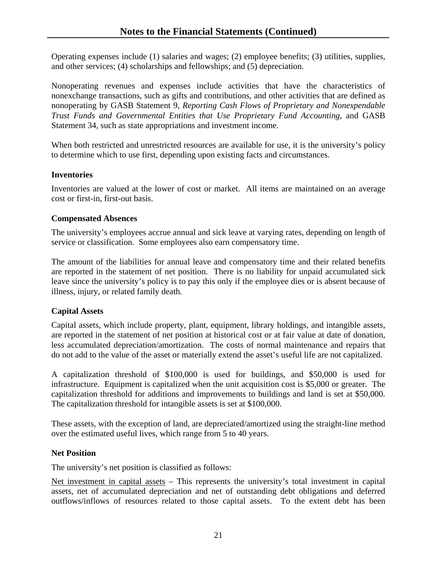Operating expenses include (1) salaries and wages; (2) employee benefits; (3) utilities, supplies, and other services; (4) scholarships and fellowships; and (5) depreciation.

Nonoperating revenues and expenses include activities that have the characteristics of nonexchange transactions, such as gifts and contributions, and other activities that are defined as nonoperating by GASB Statement 9, *Reporting Cash Flows of Proprietary and Nonexpendable Trust Funds and Governmental Entities that Use Proprietary Fund Accounting*, and GASB Statement 34, such as state appropriations and investment income.

When both restricted and unrestricted resources are available for use, it is the university's policy to determine which to use first, depending upon existing facts and circumstances.

### **Inventories**

Inventories are valued at the lower of cost or market. All items are maintained on an average cost or first-in, first-out basis.

### **Compensated Absences**

The university's employees accrue annual and sick leave at varying rates, depending on length of service or classification. Some employees also earn compensatory time.

The amount of the liabilities for annual leave and compensatory time and their related benefits are reported in the statement of net position. There is no liability for unpaid accumulated sick leave since the university's policy is to pay this only if the employee dies or is absent because of illness, injury, or related family death.

# **Capital Assets**

Capital assets, which include property, plant, equipment, library holdings, and intangible assets, are reported in the statement of net position at historical cost or at fair value at date of donation, less accumulated depreciation/amortization. The costs of normal maintenance and repairs that do not add to the value of the asset or materially extend the asset's useful life are not capitalized.

A capitalization threshold of \$100,000 is used for buildings, and \$50,000 is used for infrastructure. Equipment is capitalized when the unit acquisition cost is \$5,000 or greater. The capitalization threshold for additions and improvements to buildings and land is set at \$50,000. The capitalization threshold for intangible assets is set at \$100,000.

These assets, with the exception of land, are depreciated/amortized using the straight-line method over the estimated useful lives, which range from 5 to 40 years.

#### **Net Position**

The university's net position is classified as follows:

Net investment in capital assets – This represents the university's total investment in capital assets, net of accumulated depreciation and net of outstanding debt obligations and deferred outflows/inflows of resources related to those capital assets. To the extent debt has been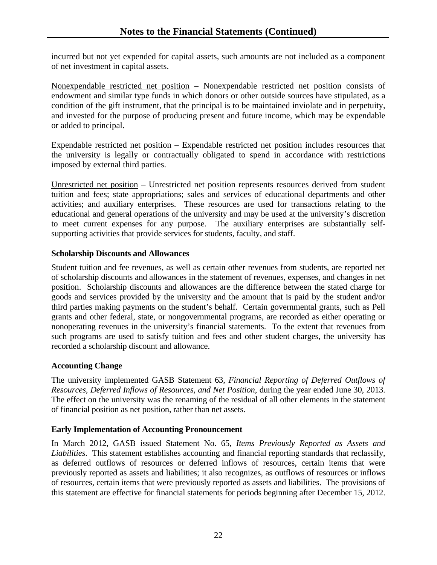incurred but not yet expended for capital assets, such amounts are not included as a component of net investment in capital assets.

Nonexpendable restricted net position – Nonexpendable restricted net position consists of endowment and similar type funds in which donors or other outside sources have stipulated, as a condition of the gift instrument, that the principal is to be maintained inviolate and in perpetuity, and invested for the purpose of producing present and future income, which may be expendable or added to principal.

Expendable restricted net position – Expendable restricted net position includes resources that the university is legally or contractually obligated to spend in accordance with restrictions imposed by external third parties.

Unrestricted net position – Unrestricted net position represents resources derived from student tuition and fees; state appropriations; sales and services of educational departments and other activities; and auxiliary enterprises. These resources are used for transactions relating to the educational and general operations of the university and may be used at the university's discretion to meet current expenses for any purpose. The auxiliary enterprises are substantially selfsupporting activities that provide services for students, faculty, and staff.

# **Scholarship Discounts and Allowances**

Student tuition and fee revenues, as well as certain other revenues from students, are reported net of scholarship discounts and allowances in the statement of revenues, expenses, and changes in net position. Scholarship discounts and allowances are the difference between the stated charge for goods and services provided by the university and the amount that is paid by the student and/or third parties making payments on the student's behalf. Certain governmental grants, such as Pell grants and other federal, state, or nongovernmental programs, are recorded as either operating or nonoperating revenues in the university's financial statements. To the extent that revenues from such programs are used to satisfy tuition and fees and other student charges, the university has recorded a scholarship discount and allowance.

# **Accounting Change**

The university implemented GASB Statement 63, *Financial Reporting of Deferred Outflows of Resources, Deferred Inflows of Resources, and Net Position*, during the year ended June 30, 2013. The effect on the university was the renaming of the residual of all other elements in the statement of financial position as net position, rather than net assets.

# **Early Implementation of Accounting Pronouncement**

In March 2012, GASB issued Statement No. 65, *Items Previously Reported as Assets and Liabilities*. This statement establishes accounting and financial reporting standards that reclassify, as deferred outflows of resources or deferred inflows of resources, certain items that were previously reported as assets and liabilities; it also recognizes, as outflows of resources or inflows of resources, certain items that were previously reported as assets and liabilities. The provisions of this statement are effective for financial statements for periods beginning after December 15, 2012.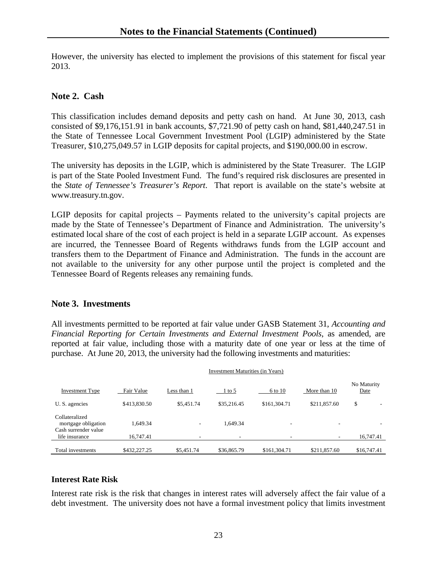However, the university has elected to implement the provisions of this statement for fiscal year 2013.

# **Note 2. Cash**

This classification includes demand deposits and petty cash on hand. At June 30, 2013, cash consisted of \$9,176,151.91 in bank accounts, \$7,721.90 of petty cash on hand, \$81,440,247.51 in the State of Tennessee Local Government Investment Pool (LGIP) administered by the State Treasurer, \$10,275,049.57 in LGIP deposits for capital projects, and \$190,000.00 in escrow.

The university has deposits in the LGIP, which is administered by the State Treasurer. The LGIP is part of the State Pooled Investment Fund. The fund's required risk disclosures are presented in the *State of Tennessee's Treasurer's Report*. That report is available on the state's website at www.treasury.tn.gov.

LGIP deposits for capital projects – Payments related to the university's capital projects are made by the State of Tennessee's Department of Finance and Administration. The university's estimated local share of the cost of each project is held in a separate LGIP account. As expenses are incurred, the Tennessee Board of Regents withdraws funds from the LGIP account and transfers them to the Department of Finance and Administration. The funds in the account are not available to the university for any other purpose until the project is completed and the Tennessee Board of Regents releases any remaining funds.

# **Note 3. Investments**

All investments permitted to be reported at fair value under GASB Statement 31, *Accounting and Financial Reporting for Certain Investments and External Investment Pools*, as amended, are reported at fair value, including those with a maturity date of one year or less at the time of purchase. At June 20, 2013, the university had the following investments and maturities:

|                                                               |              | Investment Maturities (in Years) |             |              |              |                     |
|---------------------------------------------------------------|--------------|----------------------------------|-------------|--------------|--------------|---------------------|
| Investment Type                                               | Fair Value   | Less than 1                      | $1$ to 5    | 6 to 10      | More than 10 | No Maturity<br>Date |
| U.S. agencies                                                 | \$413,830.50 | \$5,451.74                       | \$35,216.45 | \$161,304.71 | \$211,857.60 | \$                  |
| Collateralized<br>mortgage obligation<br>Cash surrender value | 1.649.34     | $\overline{\phantom{a}}$         | 1.649.34    | ۰            | ۰            |                     |
| life insurance                                                | 16,747.41    | $\overline{\phantom{0}}$         | ٠           | ۰            | ٠.           | 16,747.41           |
| Total investments                                             | \$432,227.25 | \$5,451.74                       | \$36,865.79 | \$161,304.71 | \$211,857.60 | \$16,747.41         |

# **Interest Rate Risk**

Interest rate risk is the risk that changes in interest rates will adversely affect the fair value of a debt investment. The university does not have a formal investment policy that limits investment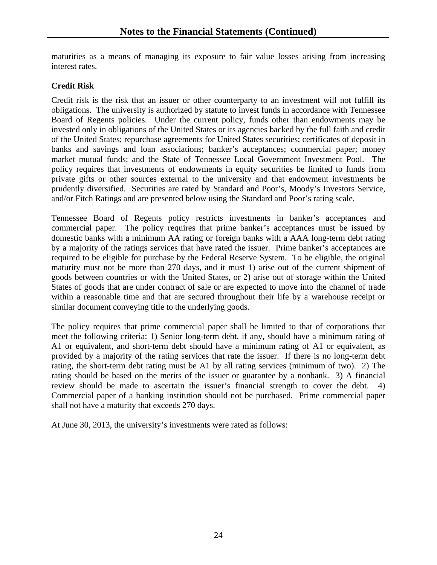maturities as a means of managing its exposure to fair value losses arising from increasing interest rates.

# **Credit Risk**

Credit risk is the risk that an issuer or other counterparty to an investment will not fulfill its obligations. The university is authorized by statute to invest funds in accordance with Tennessee Board of Regents policies. Under the current policy, funds other than endowments may be invested only in obligations of the United States or its agencies backed by the full faith and credit of the United States; repurchase agreements for United States securities; certificates of deposit in banks and savings and loan associations; banker's acceptances; commercial paper; money market mutual funds; and the State of Tennessee Local Government Investment Pool. The policy requires that investments of endowments in equity securities be limited to funds from private gifts or other sources external to the university and that endowment investments be prudently diversified*.* Securities are rated by Standard and Poor's, Moody's Investors Service, and/or Fitch Ratings and are presented below using the Standard and Poor's rating scale.

Tennessee Board of Regents policy restricts investments in banker's acceptances and commercial paper. The policy requires that prime banker's acceptances must be issued by domestic banks with a minimum AA rating or foreign banks with a AAA long-term debt rating by a majority of the ratings services that have rated the issuer. Prime banker's acceptances are required to be eligible for purchase by the Federal Reserve System. To be eligible, the original maturity must not be more than 270 days, and it must 1) arise out of the current shipment of goods between countries or with the United States, or 2) arise out of storage within the United States of goods that are under contract of sale or are expected to move into the channel of trade within a reasonable time and that are secured throughout their life by a warehouse receipt or similar document conveying title to the underlying goods.

The policy requires that prime commercial paper shall be limited to that of corporations that meet the following criteria: 1) Senior long-term debt, if any, should have a minimum rating of A1 or equivalent, and short-term debt should have a minimum rating of A1 or equivalent, as provided by a majority of the rating services that rate the issuer. If there is no long-term debt rating, the short-term debt rating must be A1 by all rating services (minimum of two). 2) The rating should be based on the merits of the issuer or guarantee by a nonbank. 3) A financial review should be made to ascertain the issuer's financial strength to cover the debt. 4) Commercial paper of a banking institution should not be purchased. Prime commercial paper shall not have a maturity that exceeds 270 days.

At June 30, 2013, the university's investments were rated as follows: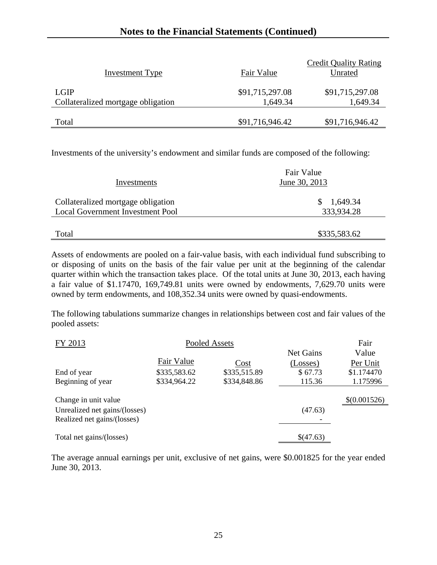# **Notes to the Financial Statements (Continued)**

| <b>Investment Type</b>                            | Fair Value                  | <b>Credit Quality Rating</b><br>Unrated |
|---------------------------------------------------|-----------------------------|-----------------------------------------|
| <b>LGIP</b><br>Collateralized mortgage obligation | \$91,715,297.08<br>1,649.34 | \$91,715,297.08<br>1,649.34             |
| Total                                             | \$91,716,946.42             | \$91,716,946.42                         |

Investments of the university's endowment and similar funds are composed of the following:

| Investments                                                                   | Fair Value<br>June 30, 2013  |
|-------------------------------------------------------------------------------|------------------------------|
| Collateralized mortgage obligation<br><b>Local Government Investment Pool</b> | 1,649.34<br>S.<br>333,934.28 |
| Total                                                                         | \$335,583.62                 |

Assets of endowments are pooled on a fair-value basis, with each individual fund subscribing to or disposing of units on the basis of the fair value per unit at the beginning of the calendar quarter within which the transaction takes place. Of the total units at June 30, 2013, each having a fair value of \$1.17470, 169,749.81 units were owned by endowments, 7,629.70 units were owned by term endowments, and 108,352.34 units were owned by quasi-endowments.

The following tabulations summarize changes in relationships between cost and fair values of the pooled assets:

| FY 2013                       |              | Pooled Assets |                  | Fair         |
|-------------------------------|--------------|---------------|------------------|--------------|
|                               |              |               | <b>Net Gains</b> | Value        |
|                               | Fair Value   | Cost          | (Losses)         | Per Unit     |
| End of year                   | \$335,583.62 | \$335,515.89  | \$67.73          | \$1.174470   |
| Beginning of year             | \$334,964.22 | \$334,848.86  | 115.36           | 1.175996     |
|                               |              |               |                  |              |
| Change in unit value          |              |               |                  | \$(0.001526) |
| Unrealized net gains/(losses) |              |               | (47.63)          |              |
| Realized net gains/(losses)   |              |               |                  |              |
|                               |              |               |                  |              |
| Total net gains/(losses)      |              |               | \$(47.63)        |              |

The average annual earnings per unit, exclusive of net gains, were \$0.001825 for the year ended June 30, 2013.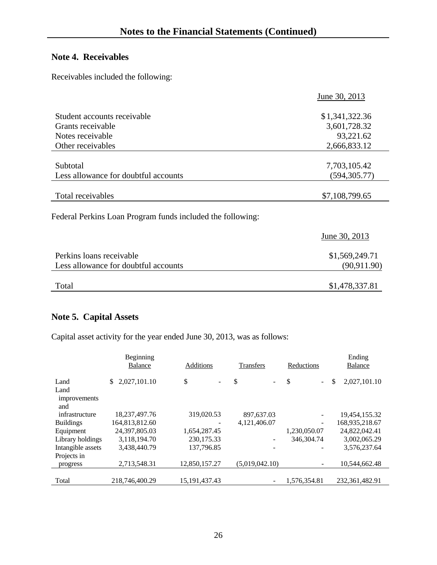# **Note 4. Receivables**

Receivables included the following:

|                                                            | June 30, 2013  |
|------------------------------------------------------------|----------------|
| Student accounts receivable                                | \$1,341,322.36 |
| Grants receivable                                          | 3,601,728.32   |
| Notes receivable                                           | 93,221.62      |
| Other receivables                                          | 2,666,833.12   |
|                                                            |                |
| Subtotal                                                   | 7,703,105.42   |
| Less allowance for doubtful accounts                       | (594, 305.77)  |
|                                                            |                |
| Total receivables                                          | \$7,108,799.65 |
|                                                            |                |
| Federal Perkins Loan Program funds included the following: |                |
|                                                            | June 30, 2013  |
| Perkins loans receivable                                   | \$1,569,249.71 |
| Less allowance for doubtful accounts                       | (90, 911.90)   |
| Total                                                      | \$1,478,337.81 |

# **Note 5. Capital Assets**

Capital asset activity for the year ended June 30, 2013, was as follows:

|                                     | Beginning<br><b>Balance</b> | Additions        | <b>Transfers</b>               | Reductions   | Ending<br><b>Balance</b> |
|-------------------------------------|-----------------------------|------------------|--------------------------------|--------------|--------------------------|
| Land<br>Land<br>improvements<br>and | 2,027,101.10<br>\$.         | \$               | \$<br>$\overline{\phantom{0}}$ | \$           | \$<br>2,027,101.10       |
| infrastructure                      | 18,237,497.76               | 319,020.53       | 897,637.03                     |              | 19,454,155.32            |
| <b>Buildings</b>                    | 164,813,812.60              |                  | 4,121,406.07                   | -            | 168,935,218.67           |
| Equipment                           | 24, 397, 805.03             | 1,654,287.45     |                                | 1,230,050.07 | 24,822,042.41            |
| Library holdings                    | 3,118,194.70                | 230, 175.33      |                                | 346, 304. 74 | 3,002,065.29             |
| Intangible assets                   | 3.438.440.79                | 137,796.85       |                                |              | 3,576,237.64             |
| Projects in                         |                             |                  |                                |              |                          |
| progress                            | 2,713,548.31                | 12,850,157.27    | (5,019,042.10)                 |              | 10,544,662.48            |
|                                     |                             |                  |                                |              |                          |
| Total                               | 218,746,400.29              | 15, 191, 437. 43 |                                | 1,576,354.81 | 232,361,482.91           |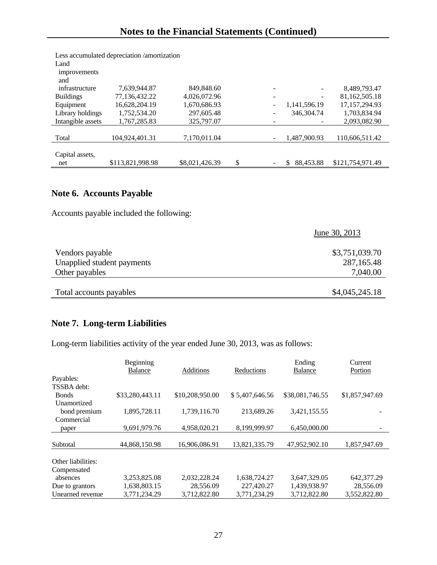|                   | Less accumulated depreciation / amontzation |                |    |                 |                  |
|-------------------|---------------------------------------------|----------------|----|-----------------|------------------|
| Land              |                                             |                |    |                 |                  |
| improvements      |                                             |                |    |                 |                  |
| and               |                                             |                |    |                 |                  |
| infrastructure    | 7.639.944.87                                | 849,848.60     |    |                 | 8,489,793.47     |
| <b>Buildings</b>  | 77,136,432.22                               | 4,026,072.96   |    |                 | 81,162,505.18    |
| Equipment         | 16.628.204.19                               | 1,670,686.93   | -  | 1,141,596.19    | 17, 157, 294. 93 |
| Library holdings  | 1,752,534.20                                | 297,605.48     | -  | 346, 304. 74    | 1,703,834.94     |
| Intangible assets | 1,767,285.83                                | 325,797.07     |    |                 | 2,093,082.90     |
|                   |                                             |                |    |                 |                  |
| Total             | 104,924,401.31                              | 7,170,011.04   |    | 1,487,900.93    | 110,606,511.42   |
|                   |                                             |                |    |                 |                  |
| Capital assets,   |                                             |                |    |                 |                  |
| net               | \$113,821,998.98                            | \$8,021,426.39 | \$ | 88,453.88<br>\$ | \$121,754,971.49 |
|                   |                                             |                |    |                 |                  |

Less accumulated depreciation /amortization

# **Note 6. Accounts Payable**

Accounts payable included the following:

|                            | June 30, 2013  |
|----------------------------|----------------|
| Vendors payable            | \$3,751,039.70 |
| Unapplied student payments | 287, 165.48    |
| Other payables             | 7,040.00       |
|                            |                |
| Total accounts payables    | \$4,045,245.18 |

# **Note 7. Long-term Liabilities**

Long-term liabilities activity of the year ended June 30, 2013, was as follows:

|                    | Beginning<br><b>Balance</b> | Additions       | Reductions     | Ending<br><b>Balance</b> | Current<br>Portion |
|--------------------|-----------------------------|-----------------|----------------|--------------------------|--------------------|
| Payables:          |                             |                 |                |                          |                    |
| <b>TSSBA</b> debt: |                             |                 |                |                          |                    |
| <b>Bonds</b>       | \$33,280,443.11             | \$10,208,950.00 | \$5,407,646.56 | \$38,081,746.55          | \$1,857,947.69     |
| Unamortized        |                             |                 |                |                          |                    |
| bond premium       | 1,895,728.11                | 1,739,116.70    | 213,689.26     | 3,421,155.55             |                    |
| Commercial         |                             |                 |                |                          |                    |
| paper              | 9,691,979.76                | 4,958,020.21    | 8,199,999.97   | 6,450,000.00             |                    |
|                    |                             |                 |                |                          |                    |
| Subtotal           | 44,868,150.98               | 16.906.086.91   | 13,821,335.79  | 47.952.902.10            | 1,857,947.69       |
|                    |                             |                 |                |                          |                    |
| Other liabilities: |                             |                 |                |                          |                    |
| Compensated        |                             |                 |                |                          |                    |
| absences           | 3,253,825.08                | 2,032,228.24    | 1,638,724.27   | 3,647,329.05             | 642,377.29         |
| Due to grantors    | 1,638,803.15                | 28,556.09       | 227,420.27     | 1,439,938.97             | 28,556.09          |
| Unearned revenue   | 3,771,234.29                | 3,712,822.80    | 3,771,234.29   | 3,712,822.80             | 3,552,822.80       |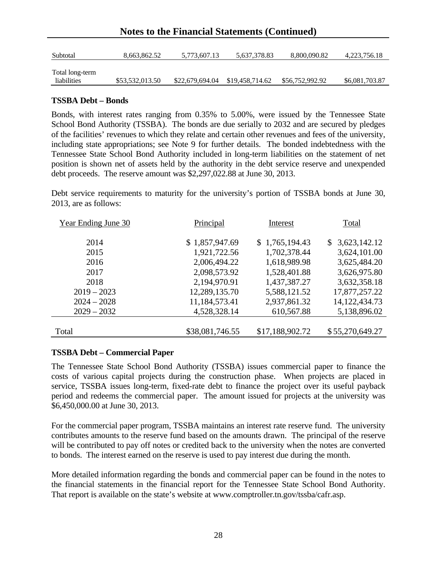| Subtotal        | 8.663.862.52    | 5.773.607.13    | 5,637,378.83    | 8.800.090.82    | 4.223.756.18   |
|-----------------|-----------------|-----------------|-----------------|-----------------|----------------|
| Total long-term |                 |                 |                 |                 |                |
| liabilities     | \$53,532,013.50 | \$22,679,694.04 | \$19,458,714.62 | \$56,752,992.92 | \$6,081,703.87 |

# **Notes to the Financial Statements (Continued)**

#### **TSSBA Debt – Bonds**

Bonds, with interest rates ranging from 0.35% to 5.00%, were issued by the Tennessee State School Bond Authority (TSSBA). The bonds are due serially to 2032 and are secured by pledges of the facilities' revenues to which they relate and certain other revenues and fees of the university, including state appropriations; see Note 9 for further details. The bonded indebtedness with the Tennessee State School Bond Authority included in long-term liabilities on the statement of net position is shown net of assets held by the authority in the debt service reserve and unexpended debt proceeds. The reserve amount was \$2,297,022.88 at June 30, 2013.

Debt service requirements to maturity for the university's portion of TSSBA bonds at June 30, 2013, are as follows:

| Year Ending June 30 | Principal       | Interest        | Total            |
|---------------------|-----------------|-----------------|------------------|
|                     |                 |                 |                  |
| 2014                | \$1,857,947.69  | \$1,765,194.43  | \$3,623,142.12   |
| 2015                | 1,921,722.56    | 1,702,378.44    | 3,624,101.00     |
| 2016                | 2,006,494.22    | 1,618,989.98    | 3,625,484.20     |
| 2017                | 2,098,573.92    | 1,528,401.88    | 3,626,975.80     |
| 2018                | 2,194,970.91    | 1,437,387.27    | 3,632,358.18     |
| $2019 - 2023$       | 12,289,135.70   | 5,588,121.52    | 17,877,257.22    |
| $2024 - 2028$       | 11,184,573.41   | 2,937,861.32    | 14, 122, 434. 73 |
| $2029 - 2032$       | 4,528,328.14    | 610,567.88      | 5,138,896.02     |
|                     |                 |                 |                  |
| Total               | \$38,081,746.55 | \$17,188,902.72 | \$55,270,649.27  |

#### **TSSBA Debt – Commercial Paper**

The Tennessee State School Bond Authority (TSSBA) issues commercial paper to finance the costs of various capital projects during the construction phase. When projects are placed in service, TSSBA issues long-term, fixed-rate debt to finance the project over its useful payback period and redeems the commercial paper. The amount issued for projects at the university was \$6,450,000.00 at June 30, 2013.

For the commercial paper program, TSSBA maintains an interest rate reserve fund. The university contributes amounts to the reserve fund based on the amounts drawn. The principal of the reserve will be contributed to pay off notes or credited back to the university when the notes are converted to bonds. The interest earned on the reserve is used to pay interest due during the month.

More detailed information regarding the bonds and commercial paper can be found in the notes to the financial statements in the financial report for the Tennessee State School Bond Authority. That report is available on the state's website at www.comptroller.tn.gov/tssba/cafr.asp.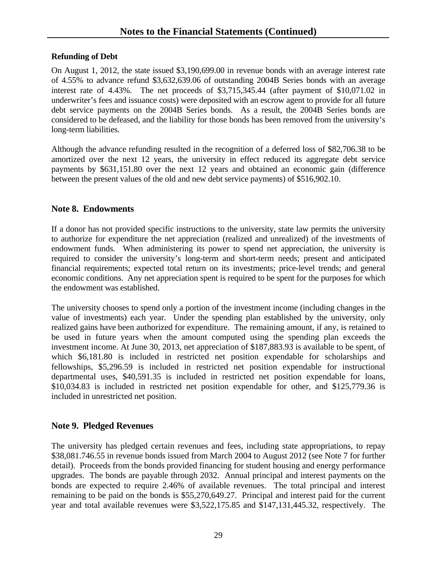# **Refunding of Debt**

On August 1, 2012, the state issued \$3,190,699.00 in revenue bonds with an average interest rate of 4.55% to advance refund \$3,632,639.06 of outstanding 2004B Series bonds with an average interest rate of 4.43%. The net proceeds of \$3,715,345.44 (after payment of \$10,071.02 in underwriter's fees and issuance costs) were deposited with an escrow agent to provide for all future debt service payments on the 2004B Series bonds. As a result, the 2004B Series bonds are considered to be defeased, and the liability for those bonds has been removed from the university's long-term liabilities.

Although the advance refunding resulted in the recognition of a deferred loss of \$82,706.38 to be amortized over the next 12 years, the university in effect reduced its aggregate debt service payments by \$631,151.80 over the next 12 years and obtained an economic gain (difference between the present values of the old and new debt service payments) of \$516,902.10.

# **Note 8. Endowments**

If a donor has not provided specific instructions to the university, state law permits the university to authorize for expenditure the net appreciation (realized and unrealized) of the investments of endowment funds. When administering its power to spend net appreciation, the university is required to consider the university's long-term and short-term needs; present and anticipated financial requirements; expected total return on its investments; price-level trends; and general economic conditions. Any net appreciation spent is required to be spent for the purposes for which the endowment was established.

The university chooses to spend only a portion of the investment income (including changes in the value of investments) each year. Under the spending plan established by the university, only realized gains have been authorized for expenditure. The remaining amount, if any, is retained to be used in future years when the amount computed using the spending plan exceeds the investment income. At June 30, 2013, net appreciation of \$187,883.93 is available to be spent, of which \$6,181.80 is included in restricted net position expendable for scholarships and fellowships, \$5,296.59 is included in restricted net position expendable for instructional departmental uses, \$40,591.35 is included in restricted net position expendable for loans, \$10,034.83 is included in restricted net position expendable for other, and \$125,779.36 is included in unrestricted net position.

# **Note 9. Pledged Revenues**

The university has pledged certain revenues and fees, including state appropriations, to repay \$38,081.746.55 in revenue bonds issued from March 2004 to August 2012 (see Note 7 for further detail). Proceeds from the bonds provided financing for student housing and energy performance upgrades. The bonds are payable through 2032. Annual principal and interest payments on the bonds are expected to require 2.46% of available revenues. The total principal and interest remaining to be paid on the bonds is \$55,270,649.27. Principal and interest paid for the current year and total available revenues were \$3,522,175.85 and \$147,131,445.32, respectively. The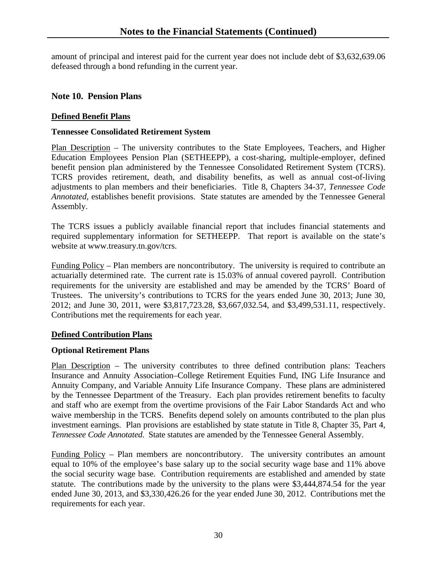amount of principal and interest paid for the current year does not include debt of \$3,632,639.06 defeased through a bond refunding in the current year.

# **Note 10. Pension Plans**

# **Defined Benefit Plans**

# **Tennessee Consolidated Retirement System**

Plan Description – The university contributes to the State Employees, Teachers, and Higher Education Employees Pension Plan (SETHEEPP), a cost-sharing, multiple-employer, defined benefit pension plan administered by the Tennessee Consolidated Retirement System (TCRS). TCRS provides retirement, death, and disability benefits, as well as annual cost-of-living adjustments to plan members and their beneficiaries. Title 8, Chapters 34-37, *Tennessee Code Annotated*, establishes benefit provisions. State statutes are amended by the Tennessee General Assembly.

The TCRS issues a publicly available financial report that includes financial statements and required supplementary information for SETHEEPP. That report is available on the state's website at www.treasury.tn.gov/tcrs.

Funding Policy – Plan members are noncontributory. The university is required to contribute an actuarially determined rate. The current rate is 15.03% of annual covered payroll. Contribution requirements for the university are established and may be amended by the TCRS' Board of Trustees. The university's contributions to TCRS for the years ended June 30, 2013; June 30, 2012; and June 30, 2011, were \$3,817,723.28, \$3,667,032.54, and \$3,499,531.11, respectively. Contributions met the requirements for each year.

# **Defined Contribution Plans**

# **Optional Retirement Plans**

Plan Description – The university contributes to three defined contribution plans: Teachers Insurance and Annuity Association–College Retirement Equities Fund, ING Life Insurance and Annuity Company, and Variable Annuity Life Insurance Company. These plans are administered by the Tennessee Department of the Treasury. Each plan provides retirement benefits to faculty and staff who are exempt from the overtime provisions of the Fair Labor Standards Act and who waive membership in the TCRS. Benefits depend solely on amounts contributed to the plan plus investment earnings. Plan provisions are established by state statute in Title 8, Chapter 35, Part 4, *Tennessee Code Annotated*. State statutes are amended by the Tennessee General Assembly.

Funding Policy – Plan members are noncontributory. The university contributes an amount equal to 10% of the employee's base salary up to the social security wage base and 11% above the social security wage base. Contribution requirements are established and amended by state statute. The contributions made by the university to the plans were \$3,444,874.54 for the year ended June 30, 2013, and \$3,330,426.26 for the year ended June 30, 2012. Contributions met the requirements for each year.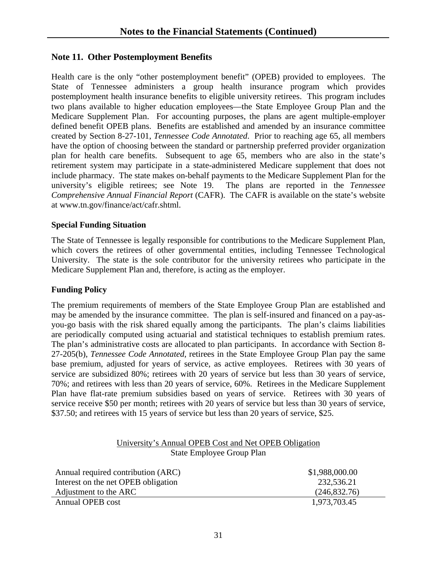# **Note 11. Other Postemployment Benefits**

Health care is the only "other postemployment benefit" (OPEB) provided to employees. The State of Tennessee administers a group health insurance program which provides postemployment health insurance benefits to eligible university retirees. This program includes two plans available to higher education employees—the State Employee Group Plan and the Medicare Supplement Plan. For accounting purposes, the plans are agent multiple-employer defined benefit OPEB plans. Benefits are established and amended by an insurance committee created by Section 8-27-101, *Tennessee Code Annotated*. Prior to reaching age 65, all members have the option of choosing between the standard or partnership preferred provider organization plan for health care benefits. Subsequent to age 65, members who are also in the state's retirement system may participate in a state-administered Medicare supplement that does not include pharmacy. The state makes on-behalf payments to the Medicare Supplement Plan for the university's eligible retirees; see Note 19. The plans are reported in the *Tennessee Comprehensive Annual Financial Report* (CAFR). The CAFR is available on the state's website at www.tn.gov/finance/act/cafr.shtml.

# **Special Funding Situation**

The State of Tennessee is legally responsible for contributions to the Medicare Supplement Plan, which covers the retirees of other governmental entities, including Tennessee Technological University. The state is the sole contributor for the university retirees who participate in the Medicare Supplement Plan and, therefore, is acting as the employer.

# **Funding Policy**

The premium requirements of members of the State Employee Group Plan are established and may be amended by the insurance committee. The plan is self-insured and financed on a pay-asyou-go basis with the risk shared equally among the participants. The plan's claims liabilities are periodically computed using actuarial and statistical techniques to establish premium rates. The plan's administrative costs are allocated to plan participants. In accordance with Section 8- 27-205(b), *Tennessee Code Annotated*, retirees in the State Employee Group Plan pay the same base premium, adjusted for years of service, as active employees. Retirees with 30 years of service are subsidized 80%; retirees with 20 years of service but less than 30 years of service, 70%; and retirees with less than 20 years of service, 60%. Retirees in the Medicare Supplement Plan have flat-rate premium subsidies based on years of service. Retirees with 30 years of service receive \$50 per month; retirees with 20 years of service but less than 30 years of service, \$37.50; and retirees with 15 years of service but less than 20 years of service, \$25.

|  |                           | University's Annual OPEB Cost and Net OPEB Obligation |
|--|---------------------------|-------------------------------------------------------|
|  | State Employee Group Plan |                                                       |

| Annual required contribution (ARC)  | \$1,988,000.00 |
|-------------------------------------|----------------|
| Interest on the net OPEB obligation | 232,536.21     |
| Adjustment to the ARC               | (246,832.76)   |
| Annual OPEB cost                    | 1,973,703.45   |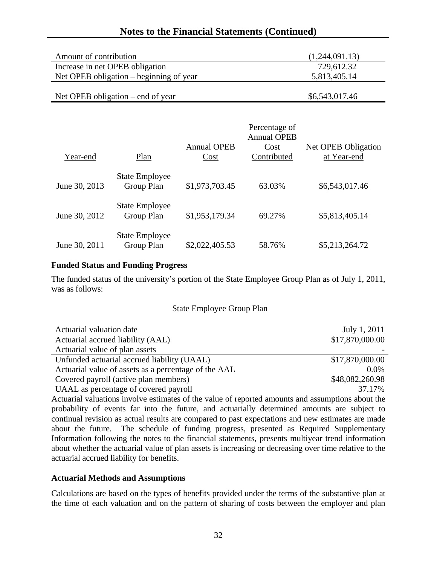| Amount of contribution                  | (1,244,091.13) |
|-----------------------------------------|----------------|
| Increase in net OPEB obligation         | 729,612.32     |
| Net OPEB obligation – beginning of year | 5,813,405.14   |
|                                         |                |
| Net OPEB obligation – end of year       | \$6,543,017.46 |

# **Notes to the Financial Statements (Continued)**

| Year-end      | Plan                                | <b>Annual OPEB</b><br>Cost | Percentage of<br><b>Annual OPEB</b><br>Cost<br>Contributed | Net OPEB Obligation<br>at Year-end |
|---------------|-------------------------------------|----------------------------|------------------------------------------------------------|------------------------------------|
| June 30, 2013 | <b>State Employee</b><br>Group Plan | \$1,973,703.45             | 63.03%                                                     | \$6,543,017.46                     |
| June 30, 2012 | <b>State Employee</b><br>Group Plan | \$1,953,179.34             | 69.27%                                                     | \$5,813,405.14                     |
| June 30, 2011 | <b>State Employee</b><br>Group Plan | \$2,022,405.53             | 58.76%                                                     | \$5,213,264.72                     |

### **Funded Status and Funding Progress**

The funded status of the university's portion of the State Employee Group Plan as of July 1, 2011, was as follows:

# State Employee Group Plan

| Actuarial valuation date                                                                          | July 1, 2011    |
|---------------------------------------------------------------------------------------------------|-----------------|
| Actuarial accrued liability (AAL)                                                                 | \$17,870,000.00 |
| Actuarial value of plan assets                                                                    |                 |
| Unfunded actuarial accrued liability (UAAL)                                                       | \$17,870,000.00 |
| Actuarial value of assets as a percentage of the AAL                                              | $0.0\%$         |
| Covered payroll (active plan members)                                                             | \$48,082,260.98 |
| UAAL as percentage of covered payroll                                                             | 37.17%          |
| Actuarial valuations involve estimates of the value of reported amounts and assumptions about the |                 |

Actuarial valuations involve estimates of the value of reported amounts and assumptions about the probability of events far into the future, and actuarially determined amounts are subject to continual revision as actual results are compared to past expectations and new estimates are made about the future. The schedule of funding progress, presented as Required Supplementary Information following the notes to the financial statements, presents multiyear trend information about whether the actuarial value of plan assets is increasing or decreasing over time relative to the actuarial accrued liability for benefits.

#### **Actuarial Methods and Assumptions**

Calculations are based on the types of benefits provided under the terms of the substantive plan at the time of each valuation and on the pattern of sharing of costs between the employer and plan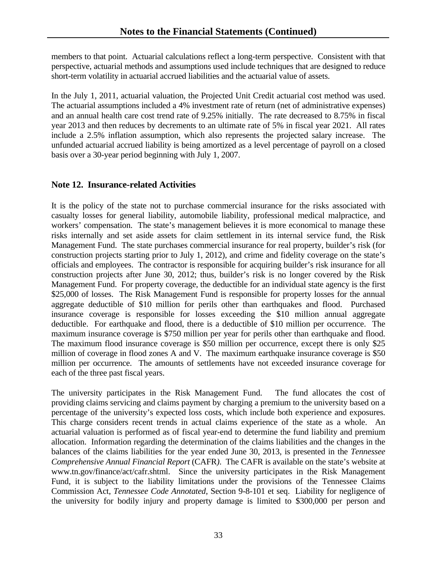members to that point. Actuarial calculations reflect a long-term perspective. Consistent with that perspective, actuarial methods and assumptions used include techniques that are designed to reduce short-term volatility in actuarial accrued liabilities and the actuarial value of assets.

In the July 1, 2011, actuarial valuation, the Projected Unit Credit actuarial cost method was used. The actuarial assumptions included a 4% investment rate of return (net of administrative expenses) and an annual health care cost trend rate of 9.25% initially. The rate decreased to 8.75% in fiscal year 2013 and then reduces by decrements to an ultimate rate of 5% in fiscal year 2021. All rates include a 2.5% inflation assumption, which also represents the projected salary increase. The unfunded actuarial accrued liability is being amortized as a level percentage of payroll on a closed basis over a 30-year period beginning with July 1, 2007.

# **Note 12. Insurance-related Activities**

It is the policy of the state not to purchase commercial insurance for the risks associated with casualty losses for general liability, automobile liability, professional medical malpractice, and workers' compensation. The state's management believes it is more economical to manage these risks internally and set aside assets for claim settlement in its internal service fund, the Risk Management Fund. The state purchases commercial insurance for real property, builder's risk (for construction projects starting prior to July 1, 2012), and crime and fidelity coverage on the state's officials and employees. The contractor is responsible for acquiring builder's risk insurance for all construction projects after June 30, 2012; thus, builder's risk is no longer covered by the Risk Management Fund. For property coverage, the deductible for an individual state agency is the first \$25,000 of losses. The Risk Management Fund is responsible for property losses for the annual aggregate deductible of \$10 million for perils other than earthquakes and flood. Purchased insurance coverage is responsible for losses exceeding the \$10 million annual aggregate deductible. For earthquake and flood, there is a deductible of \$10 million per occurrence. The maximum insurance coverage is \$750 million per year for perils other than earthquake and flood. The maximum flood insurance coverage is \$50 million per occurrence, except there is only \$25 million of coverage in flood zones A and V. The maximum earthquake insurance coverage is \$50 million per occurrence. The amounts of settlements have not exceeded insurance coverage for each of the three past fiscal years.

The university participates in the Risk Management Fund. The fund allocates the cost of providing claims servicing and claims payment by charging a premium to the university based on a percentage of the university's expected loss costs, which include both experience and exposures. This charge considers recent trends in actual claims experience of the state as a whole. An actuarial valuation is performed as of fiscal year-end to determine the fund liability and premium allocation. Information regarding the determination of the claims liabilities and the changes in the balances of the claims liabilities for the year ended June 30, 2013, is presented in the *Tennessee Comprehensive Annual Financial Report* (CAFR*)*. The CAFR is available on the state's website at www.tn.gov/finance/act/cafr.shtml. Since the university participates in the Risk Management Fund, it is subject to the liability limitations under the provisions of the Tennessee Claims Commission Act, *Tennessee Code Annotated*, Section 9-8-101 et seq. Liability for negligence of the university for bodily injury and property damage is limited to \$300,000 per person and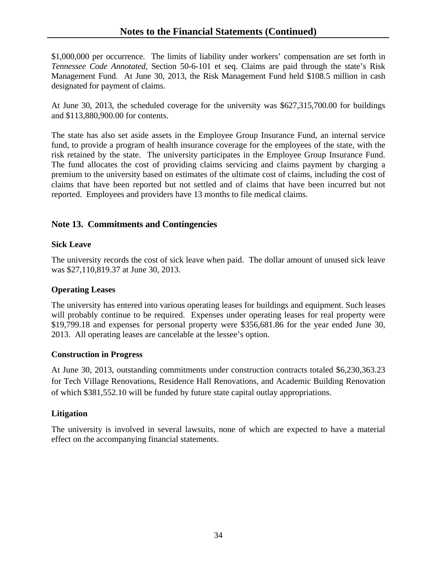\$1,000,000 per occurrence. The limits of liability under workers' compensation are set forth in *Tennessee Code Annotated,* Section 50-6-101 et seq. Claims are paid through the state's Risk Management Fund. At June 30, 2013, the Risk Management Fund held \$108.5 million in cash designated for payment of claims.

At June 30, 2013, the scheduled coverage for the university was \$627,315,700.00 for buildings and \$113,880,900.00 for contents.

The state has also set aside assets in the Employee Group Insurance Fund, an internal service fund, to provide a program of health insurance coverage for the employees of the state, with the risk retained by the state. The university participates in the Employee Group Insurance Fund. The fund allocates the cost of providing claims servicing and claims payment by charging a premium to the university based on estimates of the ultimate cost of claims, including the cost of claims that have been reported but not settled and of claims that have been incurred but not reported. Employees and providers have 13 months to file medical claims.

# **Note 13. Commitments and Contingencies**

# **Sick Leave**

The university records the cost of sick leave when paid. The dollar amount of unused sick leave was \$27,110,819.37 at June 30, 2013.

# **Operating Leases**

The university has entered into various operating leases for buildings and equipment. Such leases will probably continue to be required. Expenses under operating leases for real property were \$19,799.18 and expenses for personal property were \$356,681.86 for the year ended June 30, 2013. All operating leases are cancelable at the lessee's option.

# **Construction in Progress**

At June 30, 2013, outstanding commitments under construction contracts totaled \$6,230,363.23 for Tech Village Renovations, Residence Hall Renovations, and Academic Building Renovation of which \$381,552.10 will be funded by future state capital outlay appropriations.

# **Litigation**

The university is involved in several lawsuits, none of which are expected to have a material effect on the accompanying financial statements.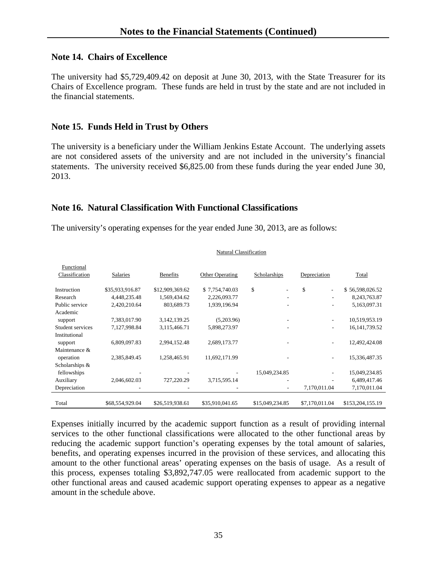# **Note 14. Chairs of Excellence**

The university had \$5,729,409.42 on deposit at June 30, 2013, with the State Treasurer for its Chairs of Excellence program. These funds are held in trust by the state and are not included in the financial statements.

# **Note 15. Funds Held in Trust by Others**

The university is a beneficiary under the William Jenkins Estate Account. The underlying assets are not considered assets of the university and are not included in the university's financial statements. The university received \$6,825.00 from these funds during the year ended June 30, 2013.

# **Note 16. Natural Classification With Functional Classifications**

The university's operating expenses for the year ended June 30, 2013, are as follows:

| Functional<br>Classification | Salaries        | <b>Benefits</b> | <b>Other Operating</b> | Scholarships    | Depreciation   | Total            |
|------------------------------|-----------------|-----------------|------------------------|-----------------|----------------|------------------|
| Instruction                  | \$35,933,916.87 | \$12,909,369.62 | \$7,754,740.03         | \$              | \$             | \$56,598,026.52  |
| Research                     | 4,448,235.48    | 1,569,434.62    | 2,226,093.77           |                 |                | 8,243,763.87     |
| Public service               | 2,420,210.64    | 803,689.73      | 1,939,196.94           |                 |                | 5,163,097.31     |
| Academic                     |                 |                 |                        |                 |                |                  |
| support                      | 7,383,017.90    | 3,142,139.25    | (5,203.96)             |                 |                | 10,519,953.19    |
| Student services             | 7,127,998.84    | 3,115,466.71    | 5,898,273.97           |                 |                | 16, 141, 739.52  |
| Institutional                |                 |                 |                        |                 |                |                  |
| support                      | 6,809,097.83    | 2,994,152.48    | 2,689,173.77           |                 |                | 12,492,424.08    |
| Maintenance &                |                 |                 |                        |                 |                |                  |
| operation                    | 2,385,849.45    | 1,258,465.91    | 11,692,171.99          |                 |                | 15,336,487.35    |
| Scholarships &               |                 |                 |                        |                 |                |                  |
| fellowships                  |                 |                 |                        | 15,049,234.85   |                | 15,049,234.85    |
| Auxiliary                    | 2,046,602.03    | 727,220.29      | 3,715,595.14           |                 |                | 6,489,417.46     |
| Depreciation                 |                 |                 |                        |                 | 7,170,011.04   | 7,170,011.04     |
|                              |                 |                 |                        |                 |                |                  |
| Total                        | \$68,554,929.04 | \$26,519,938.61 | \$35,910,041.65        | \$15,049,234.85 | \$7,170,011.04 | \$153,204,155.19 |

Natural Classification

Expenses initially incurred by the academic support function as a result of providing internal services to the other functional classifications were allocated to the other functional areas by reducing the academic support function's operating expenses by the total amount of salaries, benefits, and operating expenses incurred in the provision of these services, and allocating this amount to the other functional areas' operating expenses on the basis of usage. As a result of this process, expenses totaling \$3,892,747.05 were reallocated from academic support to the other functional areas and caused academic support operating expenses to appear as a negative amount in the schedule above.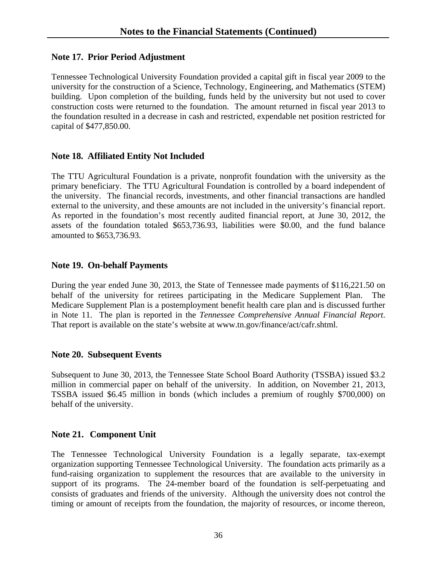# **Note 17. Prior Period Adjustment**

Tennessee Technological University Foundation provided a capital gift in fiscal year 2009 to the university for the construction of a Science, Technology, Engineering, and Mathematics (STEM) building. Upon completion of the building, funds held by the university but not used to cover construction costs were returned to the foundation. The amount returned in fiscal year 2013 to the foundation resulted in a decrease in cash and restricted, expendable net position restricted for capital of \$477,850.00.

# **Note 18. Affiliated Entity Not Included**

The TTU Agricultural Foundation is a private, nonprofit foundation with the university as the primary beneficiary. The TTU Agricultural Foundation is controlled by a board independent of the university. The financial records, investments, and other financial transactions are handled external to the university, and these amounts are not included in the university's financial report. As reported in the foundation's most recently audited financial report, at June 30, 2012, the assets of the foundation totaled \$653,736.93, liabilities were \$0.00, and the fund balance amounted to \$653,736.93.

# **Note 19. On-behalf Payments**

During the year ended June 30, 2013, the State of Tennessee made payments of \$116,221.50 on behalf of the university for retirees participating in the Medicare Supplement Plan. The Medicare Supplement Plan is a postemployment benefit health care plan and is discussed further in Note 11. The plan is reported in the *Tennessee Comprehensive Annual Financial Report*. That report is available on the state's website at www.tn.gov/finance/act/cafr.shtml.

# **Note 20. Subsequent Events**

Subsequent to June 30, 2013, the Tennessee State School Board Authority (TSSBA) issued \$3.2 million in commercial paper on behalf of the university. In addition, on November 21, 2013, TSSBA issued \$6.45 million in bonds (which includes a premium of roughly \$700,000) on behalf of the university.

# **Note 21. Component Unit**

The Tennessee Technological University Foundation is a legally separate, tax-exempt organization supporting Tennessee Technological University. The foundation acts primarily as a fund-raising organization to supplement the resources that are available to the university in support of its programs. The 24-member board of the foundation is self-perpetuating and consists of graduates and friends of the university. Although the university does not control the timing or amount of receipts from the foundation, the majority of resources, or income thereon,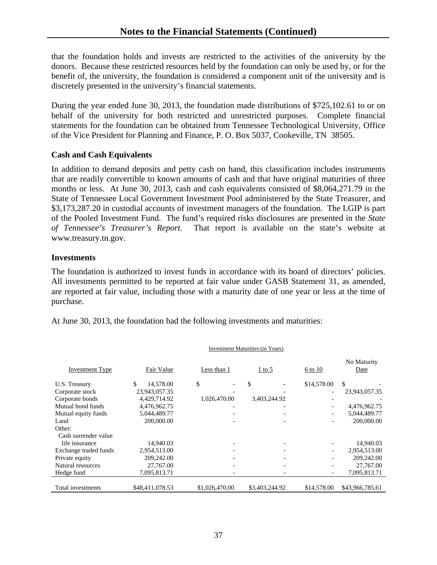that the foundation holds and invests are restricted to the activities of the university by the donors. Because these restricted resources held by the foundation can only be used by, or for the benefit of, the university, the foundation is considered a component unit of the university and is discretely presented in the university's financial statements.

During the year ended June 30, 2013, the foundation made distributions of \$725,102.61 to or on behalf of the university for both restricted and unrestricted purposes. Complete financial statements for the foundation can be obtained from Tennessee Technological University, Office of the Vice President for Planning and Finance, P. O. Box 5037, Cookeville, TN 38505.

# **Cash and Cash Equivalents**

In addition to demand deposits and petty cash on hand, this classification includes instruments that are readily convertible to known amounts of cash and that have original maturities of three months or less. At June 30, 2013, cash and cash equivalents consisted of \$8,064,271.79 in the State of Tennessee Local Government Investment Pool administered by the State Treasurer, and \$3,173,287.20 in custodial accounts of investment managers of the foundation. The LGIP is part of the Pooled Investment Fund. The fund's required risks disclosures are presented in the *State of Tennessee's Treasurer's Report.* That report is available on the state's website at www.treasury.tn.gov.

# **Investments**

The foundation is authorized to invest funds in accordance with its board of directors' policies. All investments permitted to be reported at fair value under GASB Statement 31, as amended, are reported at fair value, including those with a maturity date of one year or less at the time of purchase.

At June 30, 2013, the foundation had the following investments and maturities:

| <b>Investment Type</b> | Fair Value      | Less than 1    | $1$ to 5       | 6 to 10     | No Maturity<br>Date |
|------------------------|-----------------|----------------|----------------|-------------|---------------------|
| U.S. Treasury          | \$<br>14,578.00 | \$             | \$             | \$14,578.00 | \$                  |
| Corporate stock        | 23,943,057.35   |                |                |             | 23,943,057.35       |
| Corporate bonds        | 4,429,714.92    | 1,026,470.00   | 3,403,244.92   |             |                     |
| Mutual bond funds      | 4.476.962.75    |                |                |             | 4,476,962.75        |
| Mutual equity funds    | 5,044,489.77    |                |                |             | 5,044,489.77        |
| Land                   | 200,000.00      |                |                |             | 200,000.00          |
| Other:                 |                 |                |                |             |                     |
| Cash surrender value   |                 |                |                |             |                     |
| life insurance         | 14.940.03       |                |                |             | 14.940.03           |
| Exchange traded funds  | 2,954,513.00    |                |                |             | 2,954,513.00        |
| Private equity         | 209,242.00      |                |                |             | 209,242.00          |
| Natural resources      | 27,767.00       |                |                |             | 27,767.00           |
| Hedge fund             | 7,095,813.71    |                |                |             | 7,095,813.71        |
|                        |                 |                |                |             |                     |
| Total investments      | \$48,411,078.53 | \$1,026,470.00 | \$3,403,244.92 | \$14,578.00 | \$43,966,785.61     |

# Investment Maturities (in Years)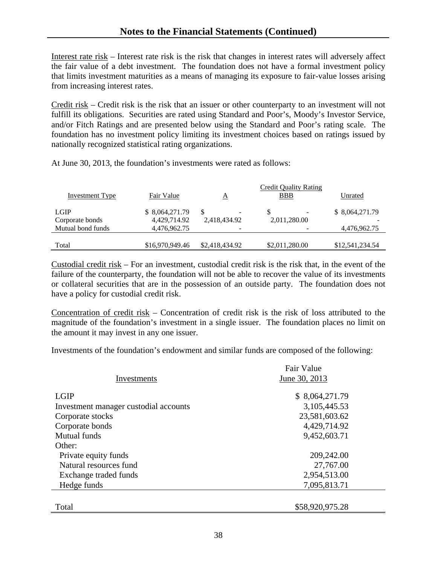Interest rate risk – Interest rate risk is the risk that changes in interest rates will adversely affect the fair value of a debt investment. The foundation does not have a formal investment policy that limits investment maturities as a means of managing its exposure to fair-value losses arising from increasing interest rates.

Credit risk – Credit risk is the risk that an issuer or other counterparty to an investment will not fulfill its obligations. Securities are rated using Standard and Poor's, Moody's Investor Service, and/or Fitch Ratings and are presented below using the Standard and Poor's rating scale. The foundation has no investment policy limiting its investment choices based on ratings issued by nationally recognized statistical rating organizations.

At June 30, 2013, the foundation's investments were rated as follows:

| <b>Investment Type</b> | Fair Value      | A              | <b>Credit Quality Rating</b><br><b>BBB</b> | Unrated         |
|------------------------|-----------------|----------------|--------------------------------------------|-----------------|
| <b>LGIP</b>            | \$8,064,271.79  | \$.            | S                                          | \$ 8,064,271.79 |
| Corporate bonds        | 4,429,714.92    | 2,418,434.92   | 2,011,280.00                               |                 |
| Mutual bond funds      | 4,476,962.75    |                |                                            | 4,476,962.75    |
|                        |                 |                |                                            |                 |
| Total                  | \$16,970,949.46 | \$2,418,434.92 | \$2,011,280.00                             | \$12,541,234.54 |

Custodial credit risk – For an investment, custodial credit risk is the risk that, in the event of the failure of the counterparty, the foundation will not be able to recover the value of its investments or collateral securities that are in the possession of an outside party. The foundation does not have a policy for custodial credit risk.

Concentration of credit risk – Concentration of credit risk is the risk of loss attributed to the magnitude of the foundation's investment in a single issuer. The foundation places no limit on the amount it may invest in any one issuer.

Investments of the foundation's endowment and similar funds are composed of the following:

|                                       | Fair Value      |  |
|---------------------------------------|-----------------|--|
| Investments                           | June 30, 2013   |  |
| <b>LGIP</b>                           | \$8,064,271.79  |  |
| Investment manager custodial accounts | 3,105,445.53    |  |
| Corporate stocks                      | 23,581,603.62   |  |
| Corporate bonds                       | 4,429,714.92    |  |
| <b>Mutual funds</b>                   | 9,452,603.71    |  |
| Other:                                |                 |  |
| Private equity funds                  | 209,242.00      |  |
| Natural resources fund                | 27,767.00       |  |
| Exchange traded funds                 | 2,954,513.00    |  |
| Hedge funds                           | 7,095,813.71    |  |
|                                       |                 |  |
| Total                                 | \$58,920,975.28 |  |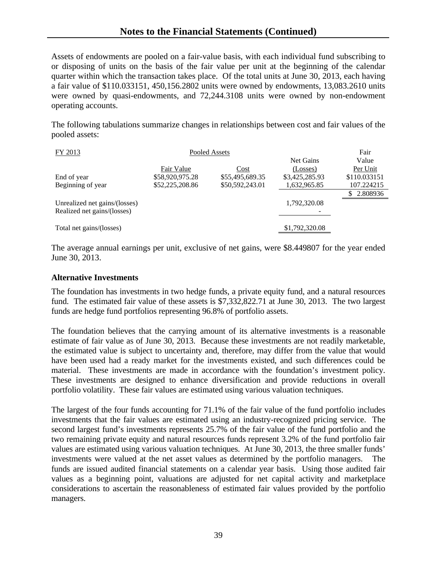# **Notes to the Financial Statements (Continued)**

Assets of endowments are pooled on a fair-value basis, with each individual fund subscribing to or disposing of units on the basis of the fair value per unit at the beginning of the calendar quarter within which the transaction takes place. Of the total units at June 30, 2013, each having a fair value of \$110.033151, 450,156.2802 units were owned by endowments, 13,083.2610 units were owned by quasi-endowments, and 72,244.3108 units were owned by non-endowment operating accounts.

The following tabulations summarize changes in relationships between cost and fair values of the pooled assets:

| FY 2013                       | Pooled Assets   |                 | Fair           |                |
|-------------------------------|-----------------|-----------------|----------------|----------------|
|                               |                 |                 | Net Gains      | Value          |
|                               | Fair Value      | Cost            | (Losses)       | Per Unit       |
| End of year                   | \$58,920,975.28 | \$55,495,689.35 | \$3,425,285.93 | \$110.033151   |
| Beginning of year             | \$52,225,208.86 | \$50,592,243.01 | 1,632,965.85   | 107.224215     |
|                               |                 |                 |                | 2.808936<br>S. |
| Unrealized net gains/(losses) |                 |                 | 1,792,320.08   |                |
| Realized net gains/(losses)   |                 |                 |                |                |
| Total net gains/(losses)      |                 |                 | \$1,792,320.08 |                |

The average annual earnings per unit, exclusive of net gains, were \$8.449807 for the year ended June 30, 2013.

### **Alternative Investments**

The foundation has investments in two hedge funds, a private equity fund, and a natural resources fund. The estimated fair value of these assets is \$7,332,822.71 at June 30, 2013. The two largest funds are hedge fund portfolios representing 96.8% of portfolio assets.

The foundation believes that the carrying amount of its alternative investments is a reasonable estimate of fair value as of June 30, 2013. Because these investments are not readily marketable, the estimated value is subject to uncertainty and, therefore, may differ from the value that would have been used had a ready market for the investments existed, and such differences could be material. These investments are made in accordance with the foundation's investment policy. These investments are designed to enhance diversification and provide reductions in overall portfolio volatility. These fair values are estimated using various valuation techniques.

The largest of the four funds accounting for 71.1% of the fair value of the fund portfolio includes investments that the fair values are estimated using an industry-recognized pricing service. The second largest fund's investments represents 25.7% of the fair value of the fund portfolio and the two remaining private equity and natural resources funds represent 3.2% of the fund portfolio fair values are estimated using various valuation techniques. At June 30, 2013, the three smaller funds' investments were valued at the net asset values as determined by the portfolio managers. The funds are issued audited financial statements on a calendar year basis. Using those audited fair values as a beginning point, valuations are adjusted for net capital activity and marketplace considerations to ascertain the reasonableness of estimated fair values provided by the portfolio managers.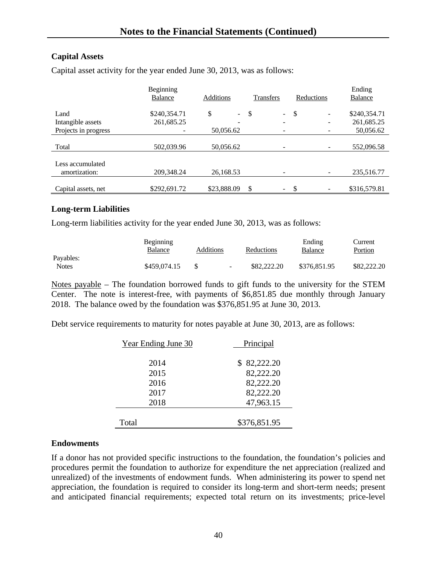# **Capital Assets**

Capital asset activity for the year ended June 30, 2013, was as follows:

|                                   | Beginning<br><b>Balance</b> | <b>Additions</b>               | <b>Transfers</b>               | Reductions | Ending<br><b>Balance</b> |
|-----------------------------------|-----------------------------|--------------------------------|--------------------------------|------------|--------------------------|
| Land                              | \$240,354.71                | \$<br>$\overline{\phantom{0}}$ | \$<br>۰                        | \$<br>-    | \$240,354.71             |
| Intangible assets                 | 261,685.25                  | -                              | -                              | ۰          | 261,685.25               |
| Projects in progress              |                             | 50,056.62                      | -                              |            | 50,056.62                |
|                                   |                             |                                |                                |            |                          |
| Total                             | 502,039.96                  | 50,056.62                      | -                              |            | 552,096.58               |
| Less accumulated<br>amortization: | 209,348.24                  | 26,168.53                      | $\qquad \qquad \blacksquare$   |            | 235,516.77               |
| Capital assets, net               | \$292,691.72                | \$23,888.09                    | \$<br>$\overline{\phantom{a}}$ | -S         | \$316,579.81             |

#### **Long-term Liabilities**

Long-term liabilities activity for the year ended June 30, 2013, was as follows:

|                           | <b>Beginning</b><br>Balance | Additions | Reductions            | Ending<br><b>Balance</b> | Current<br>Portion |
|---------------------------|-----------------------------|-----------|-----------------------|--------------------------|--------------------|
| Payables:<br><b>Notes</b> | \$459,074.15                |           | \$82,222,20<br>$\sim$ | \$376,851.95             | \$82,222,20        |

Notes payable – The foundation borrowed funds to gift funds to the university for the STEM Center. The note is interest-free, with payments of \$6,851.85 due monthly through January 2018. The balance owed by the foundation was \$376,851.95 at June 30, 2013.

Debt service requirements to maturity for notes payable at June 30, 2013, are as follows:

| Year Ending June 30 | Principal                 |
|---------------------|---------------------------|
| 2014<br>2015        | \$ 82,222.20<br>82,222.20 |
| 2016                | 82,222.20                 |
| 2017<br>2018        | 82,222.20<br>47,963.15    |
| Total               | \$376,851.95              |

#### **Endowments**

If a donor has not provided specific instructions to the foundation, the foundation's policies and procedures permit the foundation to authorize for expenditure the net appreciation (realized and unrealized) of the investments of endowment funds. When administering its power to spend net appreciation, the foundation is required to consider its long-term and short-term needs; present and anticipated financial requirements; expected total return on its investments; price-level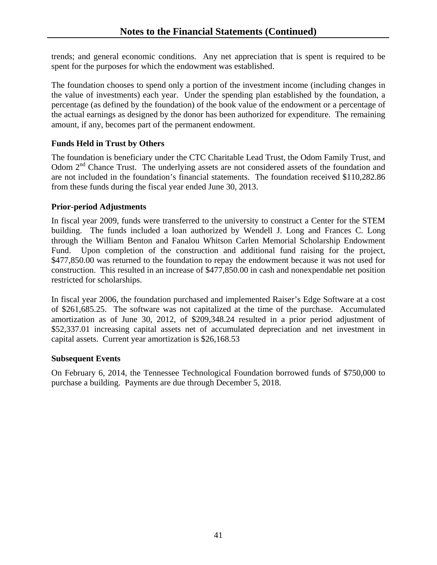trends; and general economic conditions. Any net appreciation that is spent is required to be spent for the purposes for which the endowment was established.

The foundation chooses to spend only a portion of the investment income (including changes in the value of investments) each year. Under the spending plan established by the foundation, a percentage (as defined by the foundation) of the book value of the endowment or a percentage of the actual earnings as designed by the donor has been authorized for expenditure. The remaining amount, if any, becomes part of the permanent endowment.

# **Funds Held in Trust by Others**

The foundation is beneficiary under the CTC Charitable Lead Trust, the Odom Family Trust, and Odom  $2<sup>nd</sup>$  Chance Trust. The underlying assets are not considered assets of the foundation and are not included in the foundation's financial statements. The foundation received \$110,282.86 from these funds during the fiscal year ended June 30, 2013.

# **Prior-period Adjustments**

In fiscal year 2009, funds were transferred to the university to construct a Center for the STEM building. The funds included a loan authorized by Wendell J. Long and Frances C. Long through the William Benton and Fanalou Whitson Carlen Memorial Scholarship Endowment Fund. Upon completion of the construction and additional fund raising for the project, \$477,850.00 was returned to the foundation to repay the endowment because it was not used for construction. This resulted in an increase of \$477,850.00 in cash and nonexpendable net position restricted for scholarships.

In fiscal year 2006, the foundation purchased and implemented Raiser's Edge Software at a cost of \$261,685.25. The software was not capitalized at the time of the purchase. Accumulated amortization as of June 30, 2012, of \$209,348.24 resulted in a prior period adjustment of \$52,337.01 increasing capital assets net of accumulated depreciation and net investment in capital assets. Current year amortization is \$26,168.53

# **Subsequent Events**

On February 6, 2014, the Tennessee Technological Foundation borrowed funds of \$750,000 to purchase a building. Payments are due through December 5, 2018.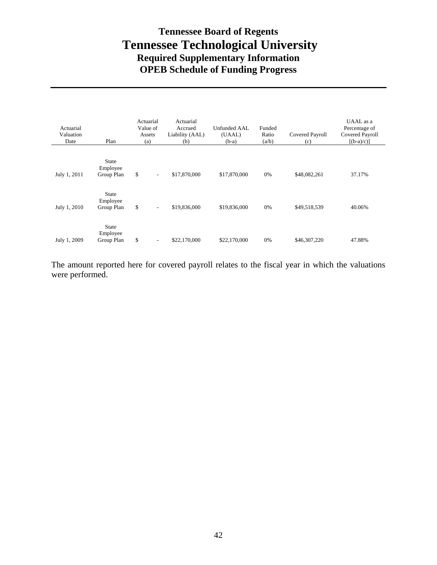# **Tennessee Board of Regents Tennessee Technological University Required Supplementary Information OPEB Schedule of Funding Progress**

| Actuarial<br>Valuation<br>Date | Plan                                   | Actuarial<br>Value of<br>Assets<br>(a) | Actuarial<br>Accrued<br>Liability (AAL)<br>(b) | <b>Unfunded AAL</b><br>(UAAL)<br>$(b-a)$ | Funded<br>Ratio<br>(a/b) | Covered Payroll<br>(c) | UAAL as a<br>Percentage of<br><b>Covered Payroll</b><br>$[(b-a)/c]$ |
|--------------------------------|----------------------------------------|----------------------------------------|------------------------------------------------|------------------------------------------|--------------------------|------------------------|---------------------------------------------------------------------|
|                                |                                        |                                        |                                                |                                          |                          |                        |                                                                     |
| July 1, 2011                   | <b>State</b><br>Employee<br>Group Plan | \$<br>۰.                               | \$17,870,000                                   | \$17,870,000                             | 0%                       | \$48,082,261           | 37.17%                                                              |
|                                | <b>State</b>                           |                                        |                                                |                                          |                          |                        |                                                                     |
| July 1, 2010                   | Employee<br>Group Plan                 | \$<br>$\overline{\phantom{a}}$         | \$19,836,000                                   | \$19,836,000                             | 0%                       | \$49,518,539           | 40.06%                                                              |
|                                | <b>State</b>                           |                                        |                                                |                                          |                          |                        |                                                                     |
| July 1, 2009                   | Employee<br>Group Plan                 | \$<br>۰.                               | \$22,170,000                                   | \$22,170,000                             | $0\%$                    | \$46,307,220           | 47.88%                                                              |

The amount reported here for covered payroll relates to the fiscal year in which the valuations were performed.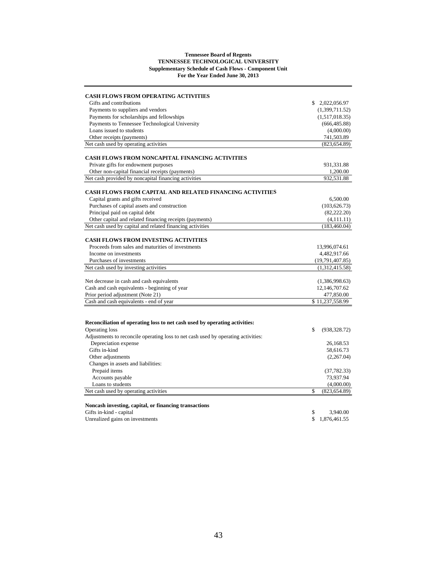#### **Tennessee Board of Regents TENNESSEE TECHNOLOGICAL UNIVERSITY Supplementary Schedule of Cash Flows - Component Unit For the Year Ended June 30, 2013**

| CASH FLOWS FROM OPERATING ACTIVITIES                                                                                 |                      |
|----------------------------------------------------------------------------------------------------------------------|----------------------|
| Gifts and contributions                                                                                              | \$ 2,022,056.97      |
| Payments to suppliers and vendors                                                                                    | (1,399,711.52)       |
| Payments for scholarships and fellowships                                                                            | (1,517,018.35)       |
| Payments to Tennessee Technological University                                                                       | (666, 485.88)        |
| Loans issued to students                                                                                             | (4,000.00)           |
| Other receipts (payments)                                                                                            | 741,503.89           |
| Net cash used by operating activities                                                                                | (823, 654.89)        |
| CASH FLOWS FROM NONCAPITAL FINANCING ACTIVITIES                                                                      |                      |
| Private gifts for endowment purposes                                                                                 | 931,331.88           |
| Other non-capital financial receipts (payments)                                                                      | 1,200.00             |
| Net cash provided by noncapital financing activities                                                                 | 932,531.88           |
|                                                                                                                      |                      |
| <b>CASH FLOWS FROM CAPITAL AND RELATED FINANCING ACTIVITIES</b>                                                      |                      |
| Capital grants and gifts received                                                                                    | 6,500.00             |
| Purchases of capital assets and construction                                                                         | (103, 626.73)        |
| Principal paid on capital debt                                                                                       | (82, 222.20)         |
| Other capital and related financing receipts (payments)<br>Net cash used by capital and related financing activities | (4,111.11)           |
|                                                                                                                      | (183, 460.04)        |
| <b>CASH FLOWS FROM INVESTING ACTIVITIES</b>                                                                          |                      |
| Proceeds from sales and maturities of investments                                                                    | 13,996,074.61        |
| Income on investments                                                                                                | 4,482,917.66         |
| Purchases of investments                                                                                             | (19,791,407.85)      |
| Net cash used by investing activities                                                                                | (1,312,415.58)       |
| Net decrease in cash and cash equivalents                                                                            | (1,386,998.63)       |
| Cash and cash equivalents - beginning of year                                                                        | 12,146,707.62        |
| Prior period adjustment (Note 21)                                                                                    | 477,850.00           |
| Cash and cash equivalents - end of year                                                                              | \$11,237,558.99      |
|                                                                                                                      |                      |
| Reconciliation of operating loss to net cash used by operating activities:                                           |                      |
| <b>Operating loss</b>                                                                                                | \$.<br>(938, 328.72) |
| Adjustments to reconcile operating loss to net cash used by operating activities:                                    |                      |
| Depreciation expense                                                                                                 | 26,168.53            |
| Gifts in-kind                                                                                                        | 58,616.73            |
| Other adjustments                                                                                                    | (2,267.04)           |
| Changes in assets and liabilities:                                                                                   |                      |
| Prepaid items                                                                                                        | (37, 782.33)         |
| Accounts payable                                                                                                     | 73,937.94            |
| Loans to students                                                                                                    | (4,000.00)           |
| Net cash used by operating activities                                                                                | \$<br>(823, 654.89)  |
|                                                                                                                      |                      |
| Noncash investing, capital, or financing transactions                                                                |                      |
| Gifts in-kind - capital                                                                                              | \$<br>3,940.00       |
| Unrealized gains on investments                                                                                      | \$<br>1,876,461.55   |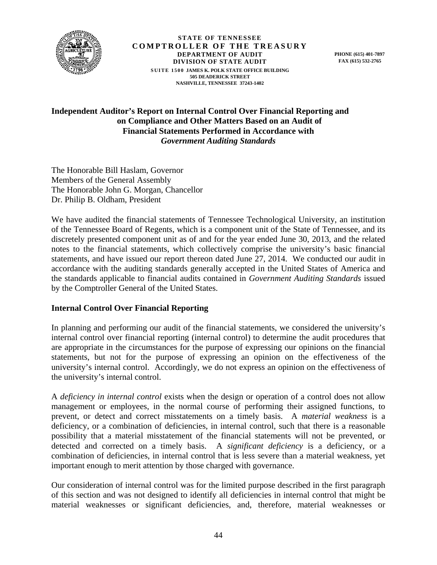

**STATE OF TENNESSEE COMPTROLLER OF THE TREASURY DEPARTMENT OF AUDIT DIVISION OF STATE AUDIT SUITE 1500 JAMES K. POLK STATE OFFICE BUILDING 505 DEADERICK STREET NASHVILLE, TENNESSEE 37243-1402** 

**PHONE (615) 401-7897 FAX (615) 532-2765** 

### **Independent Auditor's Report on Internal Control Over Financial Reporting and on Compliance and Other Matters Based on an Audit of Financial Statements Performed in Accordance with**  *Government Auditing Standards*

The Honorable Bill Haslam, Governor Members of the General Assembly The Honorable John G. Morgan, Chancellor Dr. Philip B. Oldham, President

We have audited the financial statements of Tennessee Technological University, an institution of the Tennessee Board of Regents, which is a component unit of the State of Tennessee, and its discretely presented component unit as of and for the year ended June 30, 2013, and the related notes to the financial statements, which collectively comprise the university's basic financial statements, and have issued our report thereon dated June 27, 2014. We conducted our audit in accordance with the auditing standards generally accepted in the United States of America and the standards applicable to financial audits contained in *Government Auditing Standards* issued by the Comptroller General of the United States.

# **Internal Control Over Financial Reporting**

In planning and performing our audit of the financial statements, we considered the university's internal control over financial reporting (internal control) to determine the audit procedures that are appropriate in the circumstances for the purpose of expressing our opinions on the financial statements, but not for the purpose of expressing an opinion on the effectiveness of the university's internal control. Accordingly, we do not express an opinion on the effectiveness of the university's internal control.

A *deficiency in internal control* exists when the design or operation of a control does not allow management or employees, in the normal course of performing their assigned functions, to prevent, or detect and correct misstatements on a timely basis. A *material weakness* is a deficiency, or a combination of deficiencies, in internal control, such that there is a reasonable possibility that a material misstatement of the financial statements will not be prevented, or detected and corrected on a timely basis. A *significant deficiency* is a deficiency, or a combination of deficiencies, in internal control that is less severe than a material weakness, yet important enough to merit attention by those charged with governance.

Our consideration of internal control was for the limited purpose described in the first paragraph of this section and was not designed to identify all deficiencies in internal control that might be material weaknesses or significant deficiencies, and, therefore, material weaknesses or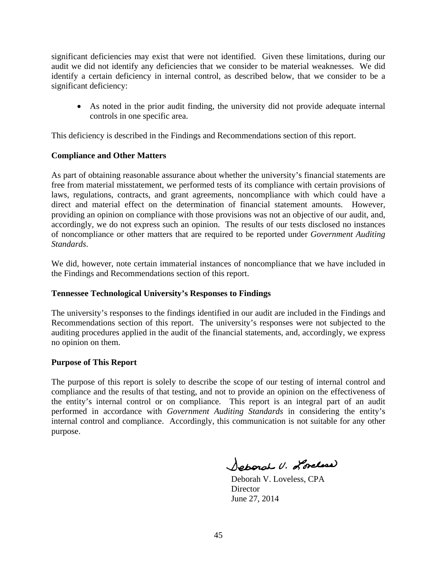significant deficiencies may exist that were not identified. Given these limitations, during our audit we did not identify any deficiencies that we consider to be material weaknesses. We did identify a certain deficiency in internal control, as described below, that we consider to be a significant deficiency:

 As noted in the prior audit finding, the university did not provide adequate internal controls in one specific area.

This deficiency is described in the Findings and Recommendations section of this report.

#### **Compliance and Other Matters**

As part of obtaining reasonable assurance about whether the university's financial statements are free from material misstatement, we performed tests of its compliance with certain provisions of laws, regulations, contracts, and grant agreements, noncompliance with which could have a direct and material effect on the determination of financial statement amounts. However, providing an opinion on compliance with those provisions was not an objective of our audit, and, accordingly, we do not express such an opinion. The results of our tests disclosed no instances of noncompliance or other matters that are required to be reported under *Government Auditing Standards*.

We did, however, note certain immaterial instances of noncompliance that we have included in the Findings and Recommendations section of this report.

#### **Tennessee Technological University's Responses to Findings**

The university's responses to the findings identified in our audit are included in the Findings and Recommendations section of this report. The university's responses were not subjected to the auditing procedures applied in the audit of the financial statements, and, accordingly, we express no opinion on them.

#### **Purpose of This Report**

The purpose of this report is solely to describe the scope of our testing of internal control and compliance and the results of that testing, and not to provide an opinion on the effectiveness of the entity's internal control or on compliance. This report is an integral part of an audit performed in accordance with *Government Auditing Standards* in considering the entity's internal control and compliance. Accordingly, this communication is not suitable for any other purpose.

Soperal U. Lorelson

 Deborah V. Loveless, CPA **Director** June 27, 2014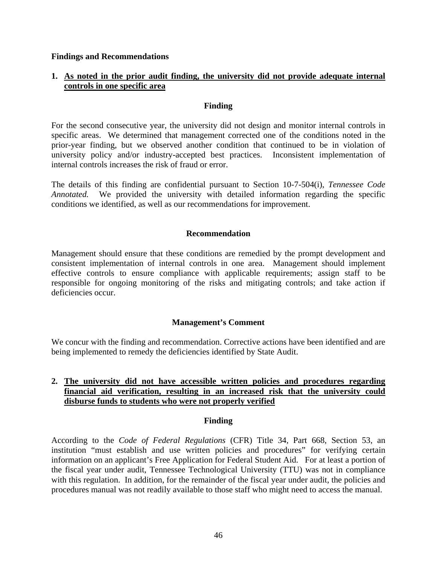#### **Findings and Recommendations**

### **1. As noted in the prior audit finding, the university did not provide adequate internal controls in one specific area**

#### **Finding**

For the second consecutive year, the university did not design and monitor internal controls in specific areas. We determined that management corrected one of the conditions noted in the prior-year finding, but we observed another condition that continued to be in violation of university policy and/or industry-accepted best practices. Inconsistent implementation of internal controls increases the risk of fraud or error.

The details of this finding are confidential pursuant to Section 10-7-504(i), *Tennessee Code Annotated.* We provided the university with detailed information regarding the specific conditions we identified, as well as our recommendations for improvement.

#### **Recommendation**

Management should ensure that these conditions are remedied by the prompt development and consistent implementation of internal controls in one area. Management should implement effective controls to ensure compliance with applicable requirements; assign staff to be responsible for ongoing monitoring of the risks and mitigating controls; and take action if deficiencies occur.

#### **Management's Comment**

We concur with the finding and recommendation. Corrective actions have been identified and are being implemented to remedy the deficiencies identified by State Audit.

### **2. The university did not have accessible written policies and procedures regarding financial aid verification, resulting in an increased risk that the university could disburse funds to students who were not properly verified**

#### **Finding**

According to the *Code of Federal Regulations* (CFR) Title 34, Part 668, Section 53, an institution "must establish and use written policies and procedures" for verifying certain information on an applicant's Free Application for Federal Student Aid. For at least a portion of the fiscal year under audit, Tennessee Technological University (TTU) was not in compliance with this regulation. In addition, for the remainder of the fiscal year under audit, the policies and procedures manual was not readily available to those staff who might need to access the manual.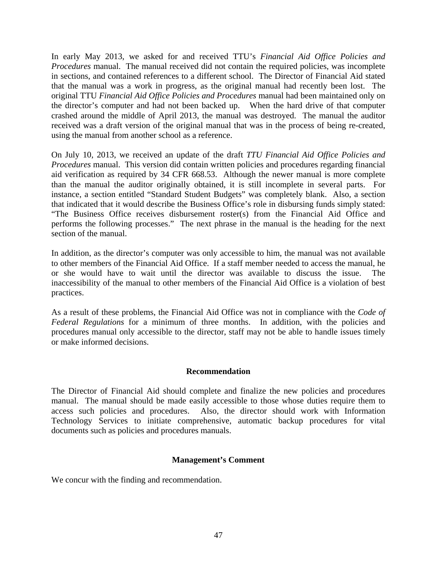In early May 2013, we asked for and received TTU's *Financial Aid Office Policies and Procedures* manual. The manual received did not contain the required policies, was incomplete in sections, and contained references to a different school. The Director of Financial Aid stated that the manual was a work in progress, as the original manual had recently been lost. The original TTU *Financial Aid Office Policies and Procedures* manual had been maintained only on the director's computer and had not been backed up. When the hard drive of that computer crashed around the middle of April 2013, the manual was destroyed. The manual the auditor received was a draft version of the original manual that was in the process of being re-created, using the manual from another school as a reference.

On July 10, 2013, we received an update of the draft *TTU Financial Aid Office Policies and Procedures* manual. This version did contain written policies and procedures regarding financial aid verification as required by 34 CFR 668.53. Although the newer manual is more complete than the manual the auditor originally obtained, it is still incomplete in several parts. For instance, a section entitled "Standard Student Budgets" was completely blank. Also, a section that indicated that it would describe the Business Office's role in disbursing funds simply stated: "The Business Office receives disbursement roster(s) from the Financial Aid Office and performs the following processes." The next phrase in the manual is the heading for the next section of the manual.

In addition, as the director's computer was only accessible to him, the manual was not available to other members of the Financial Aid Office. If a staff member needed to access the manual, he or she would have to wait until the director was available to discuss the issue. The inaccessibility of the manual to other members of the Financial Aid Office is a violation of best practices.

As a result of these problems, the Financial Aid Office was not in compliance with the *Code of Federal Regulations* for a minimum of three months. In addition, with the policies and procedures manual only accessible to the director, staff may not be able to handle issues timely or make informed decisions.

#### **Recommendation**

The Director of Financial Aid should complete and finalize the new policies and procedures manual. The manual should be made easily accessible to those whose duties require them to access such policies and procedures. Also, the director should work with Information Technology Services to initiate comprehensive, automatic backup procedures for vital documents such as policies and procedures manuals.

#### **Management's Comment**

We concur with the finding and recommendation.